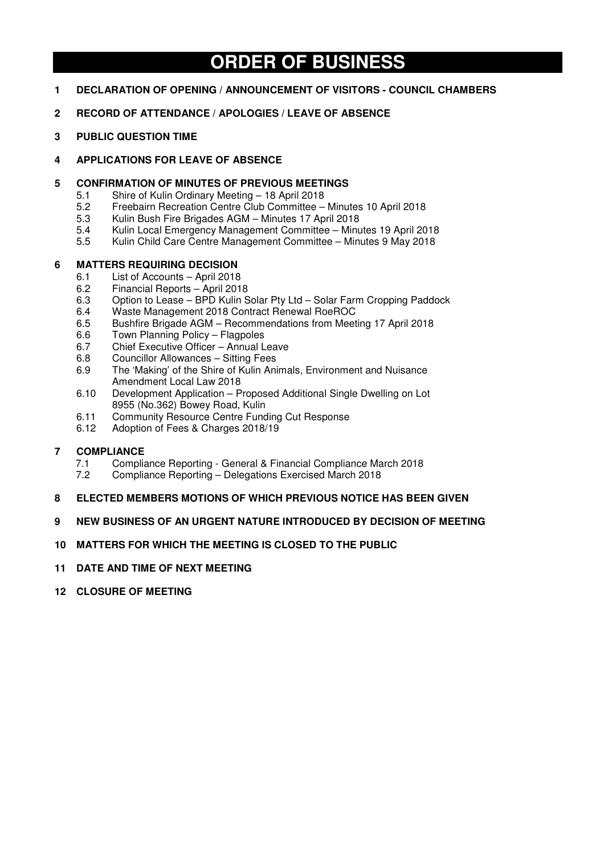# **ORDER OF BUSINESS**

- **1 DECLARATION OF OPENING / ANNOUNCEMENT OF VISITORS COUNCIL CHAMBERS**
- **2 RECORD OF ATTENDANCE / APOLOGIES / LEAVE OF ABSENCE**
- **3 PUBLIC QUESTION TIME**

# **4 APPLICATIONS FOR LEAVE OF ABSENCE**

# **5 CONFIRMATION OF MINUTES OF PREVIOUS MEETINGS**

- 5.1 Shire of Kulin Ordinary Meeting 18 April 2018<br>5.2 Freebairn Recreation Centre Club Committee -
- 5.2 Freebairn Recreation Centre Club Committee Minutes 10 April 2018
- 5.3 Kulin Bush Fire Brigades AGM Minutes 17 April 2018
- 5.4 Kulin Local Emergency Management Committee Minutes 19 April 2018
- 5.5 Kulin Child Care Centre Management Committee Minutes 9 May 2018

# **6 MATTERS REQUIRING DECISION**

- 6.1 List of Accounts April 2018
- 6.2 Financial Reports April 2018<br>6.3 Option to Lease BPD Kulin S
- 6.3 Option to Lease BPD Kulin Solar Pty Ltd Solar Farm Cropping Paddock
- 6.4 Waste Management 2018 Contract Renewal RoeROC
- 6.5 Bushfire Brigade AGM Recommendations from Meeting 17 April 2018
- 6.6 Town Planning Policy Flagpoles
- 6.7 Chief Executive Officer Annual Leave
- 6.8 Councillor Allowances Sitting Fees
- 6.9 The 'Making' of the Shire of Kulin Animals, Environment and Nuisance Amendment Local Law 2018
- 6.10 Development Application Proposed Additional Single Dwelling on Lot 8955 (No.362) Bowey Road, Kulin
- 6.11 Community Resource Centre Funding Cut Response<br>6.12 Adoption of Fees & Charges 2018/19
- 6.12 Adoption of Fees & Charges 2018/19

# **7 COMPLIANCE**

- 7.1 Compliance Reporting General & Financial Compliance March 2018<br>7.2 Compliance Reporting Delegations Exercised March 2018
- 7.2 Compliance Reporting Delegations Exercised March 2018
- **8 ELECTED MEMBERS MOTIONS OF WHICH PREVIOUS NOTICE HAS BEEN GIVEN**

# **9 NEW BUSINESS OF AN URGENT NATURE INTRODUCED BY DECISION OF MEETING**

# **10 MATTERS FOR WHICH THE MEETING IS CLOSED TO THE PUBLIC**

- **11 DATE AND TIME OF NEXT MEETING**
- **12 CLOSURE OF MEETING**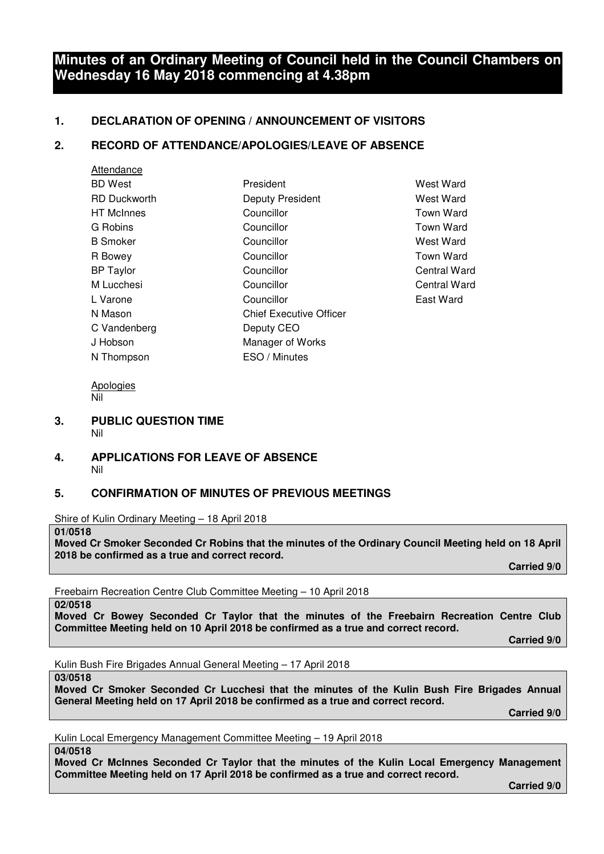# **Minutes of an Ordinary Meeting of Council held in the Council Chambers on Wednesday 16 May 2018 commencing at 4.38pm**

# **1. DECLARATION OF OPENING / ANNOUNCEMENT OF VISITORS**

# **2. RECORD OF ATTENDANCE/APOLOGIES/LEAVE OF ABSENCE**

| Attendance          |                                |
|---------------------|--------------------------------|
| <b>BD</b> West      | President                      |
| <b>RD Duckworth</b> | Deputy President               |
| <b>HT</b> McInnes   | Councillor                     |
| G Robins            | Councillor                     |
| <b>B</b> Smoker     | Councillor                     |
| R Bowey             | Councillor                     |
| <b>BP</b> Taylor    | Councillor                     |
| M Lucchesi          | Councillor                     |
| L Varone            | Councillor                     |
| N Mason             | <b>Chief Executive Officer</b> |
| C Vandenberg        | Deputy CEO                     |
| J Hobson            | Manager of Works               |
| N Thompson          | ESO / Minutes                  |

West Ward **West Ward** Town Ward Town Ward West Ward Town Ward Central Ward Central Ward East Ward

Apologies Nil

- **3. PUBLIC QUESTION TIME**  Nil
- **4. APPLICATIONS FOR LEAVE OF ABSENCE**  Nil

# **5. CONFIRMATION OF MINUTES OF PREVIOUS MEETINGS**

Shire of Kulin Ordinary Meeting – 18 April 2018

**01/0518** 

**Moved Cr Smoker Seconded Cr Robins that the minutes of the Ordinary Council Meeting held on 18 April 2018 be confirmed as a true and correct record.** 

 **Carried 9/0** 

Freebairn Recreation Centre Club Committee Meeting – 10 April 2018

**02/0518** 

**Moved Cr Bowey Seconded Cr Taylor that the minutes of the Freebairn Recreation Centre Club Committee Meeting held on 10 April 2018 be confirmed as a true and correct record.** 

 **Carried 9/0** 

Kulin Bush Fire Brigades Annual General Meeting – 17 April 2018

#### **03/0518**

**Moved Cr Smoker Seconded Cr Lucchesi that the minutes of the Kulin Bush Fire Brigades Annual General Meeting held on 17 April 2018 be confirmed as a true and correct record.** 

 **Carried 9/0** 

Kulin Local Emergency Management Committee Meeting – 19 April 2018

#### **04/0518**

**Moved Cr McInnes Seconded Cr Taylor that the minutes of the Kulin Local Emergency Management Committee Meeting held on 17 April 2018 be confirmed as a true and correct record.** 

 **Carried 9/0**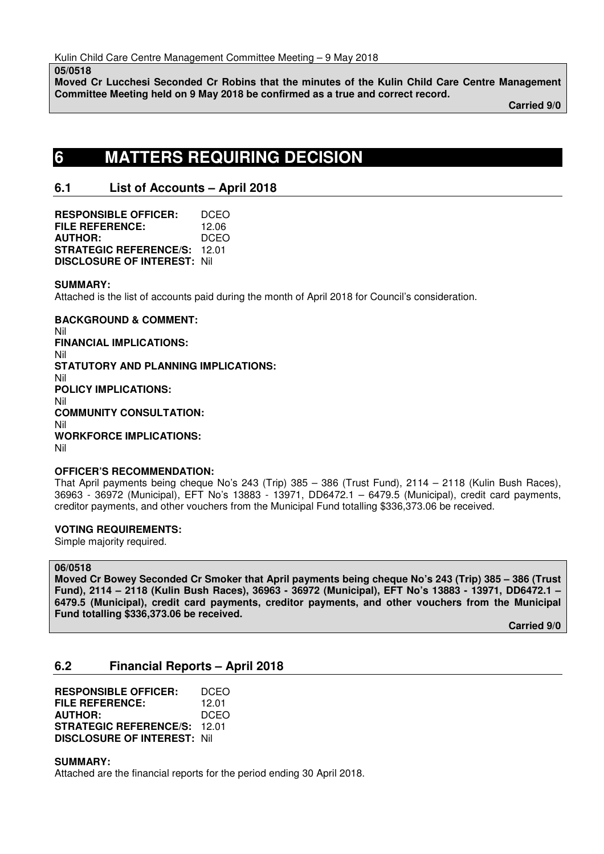**05/0518** 

**Moved Cr Lucchesi Seconded Cr Robins that the minutes of the Kulin Child Care Centre Management Committee Meeting held on 9 May 2018 be confirmed as a true and correct record.** 

 **Carried 9/0** 

# **6 MATTERS REQUIRING DECISION**

# **6.1 List of Accounts – April 2018**

| <b>RESPONSIBLE OFFICER:</b>        | DCEO  |
|------------------------------------|-------|
| FILE REFERENCE:                    | 12.06 |
| <b>AUTHOR:</b>                     | DCEO  |
| <b>STRATEGIC REFERENCE/S:</b>      | 12 O1 |
| <b>DISCLOSURE OF INTEREST: Nil</b> |       |

# **SUMMARY:**

Attached is the list of accounts paid during the month of April 2018 for Council's consideration.

**BACKGROUND & COMMENT:**  Nil **FINANCIAL IMPLICATIONS:**  Nil **STATUTORY AND PLANNING IMPLICATIONS:**  Nil **POLICY IMPLICATIONS:**  Nil **COMMUNITY CONSULTATION:**  Nil **WORKFORCE IMPLICATIONS:**  Nil

# **OFFICER'S RECOMMENDATION:**

That April payments being cheque No's 243 (Trip) 385 – 386 (Trust Fund), 2114 – 2118 (Kulin Bush Races), 36963 - 36972 (Municipal), EFT No's 13883 - 13971, DD6472.1 – 6479.5 (Municipal), credit card payments, creditor payments, and other vouchers from the Municipal Fund totalling \$336,373.06 be received.

# **VOTING REQUIREMENTS:**

Simple majority required.

# **06/0518**

**Moved Cr Bowey Seconded Cr Smoker that April payments being cheque No's 243 (Trip) 385 – 386 (Trust Fund), 2114 – 2118 (Kulin Bush Races), 36963 - 36972 (Municipal), EFT No's 13883 - 13971, DD6472.1 – 6479.5 (Municipal), credit card payments, creditor payments, and other vouchers from the Municipal Fund totalling \$336,373.06 be received.** 

 **Carried 9/0** 

# **6.2 Financial Reports – April 2018**

**RESPONSIBLE OFFICER:** DCEO **FILE REFERENCE:** 12.01 **AUTHOR:** DCEO **STRATEGIC REFERENCE/S:** 12.01 **DISCLOSURE OF INTEREST:** Nil

# **SUMMARY:**

Attached are the financial reports for the period ending 30 April 2018.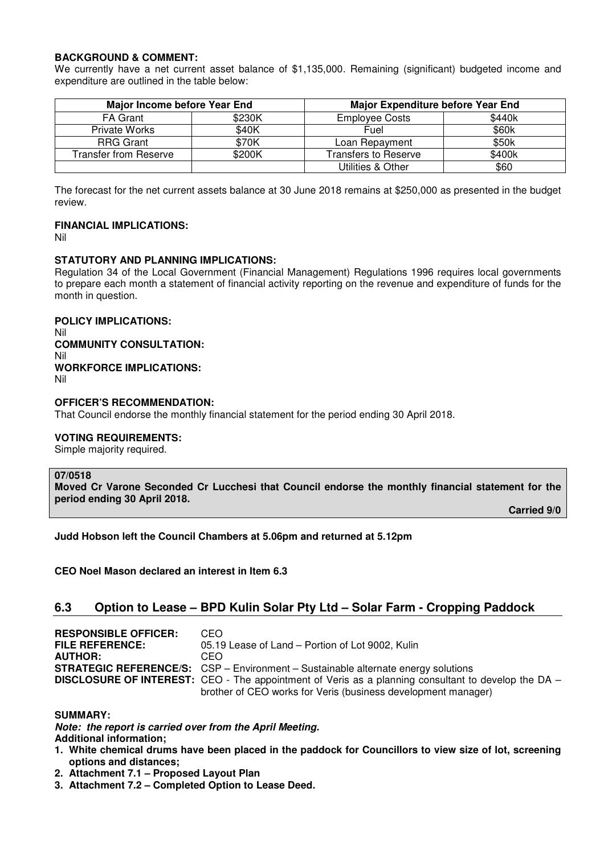# **BACKGROUND & COMMENT:**

We currently have a net current asset balance of \$1,135,000. Remaining (significant) budgeted income and expenditure are outlined in the table below:

| <b>Major Income before Year End</b> |        | Major Expenditure before Year End |        |  |
|-------------------------------------|--------|-----------------------------------|--------|--|
| <b>FA Grant</b>                     | \$230K | <b>Employee Costs</b>             | \$440k |  |
| Private Works                       | \$40K  | Fuel                              | \$60k  |  |
| <b>RRG Grant</b>                    | \$70K  | Loan Repayment                    | \$50k  |  |
| Transfer from Reserve               | \$200K | Transfers to Reserve              | \$400k |  |
|                                     |        | Utilities & Other                 | \$60   |  |

The forecast for the net current assets balance at 30 June 2018 remains at \$250,000 as presented in the budget review.

# **FINANCIAL IMPLICATIONS:**

Nil

# **STATUTORY AND PLANNING IMPLICATIONS:**

Regulation 34 of the Local Government (Financial Management) Regulations 1996 requires local governments to prepare each month a statement of financial activity reporting on the revenue and expenditure of funds for the month in question.

**POLICY IMPLICATIONS:**  Nil **COMMUNITY CONSULTATION:**  Nil **WORKFORCE IMPLICATIONS:** 

Nil

# **OFFICER'S RECOMMENDATION:**

That Council endorse the monthly financial statement for the period ending 30 April 2018.

# **VOTING REQUIREMENTS:**

Simple majority required.

#### **07/0518**

**Moved Cr Varone Seconded Cr Lucchesi that Council endorse the monthly financial statement for the period ending 30 April 2018.** 

 **Carried 9/0** 

**Judd Hobson left the Council Chambers at 5.06pm and returned at 5.12pm** 

**CEO Noel Mason declared an interest in Item 6.3** 

# **6.3 Option to Lease – BPD Kulin Solar Pty Ltd – Solar Farm - Cropping Paddock**

| <b>RESPONSIBLE OFFICER:</b> | CEO.                                                                                                       |
|-----------------------------|------------------------------------------------------------------------------------------------------------|
| <b>FILE REFERENCE:</b>      | 05.19 Lease of Land – Portion of Lot 9002, Kulin                                                           |
| <b>AUTHOR:</b>              | CEO.                                                                                                       |
|                             | <b>STRATEGIC REFERENCE/S:</b> CSP - Environment - Sustainable alternate energy solutions                   |
|                             | <b>DISCLOSURE OF INTEREST:</b> CEO - The appointment of Veris as a planning consultant to develop the DA - |
|                             | brother of CEO works for Veris (business development manager)                                              |

#### **SUMMARY:**

*Note: the report is carried over from the April Meeting.*  **Additional information;** 

- **1. White chemical drums have been placed in the paddock for Councillors to view size of lot, screening options and distances;**
- **2. Attachment 7.1 Proposed Layout Plan**
- **3. Attachment 7.2 Completed Option to Lease Deed.**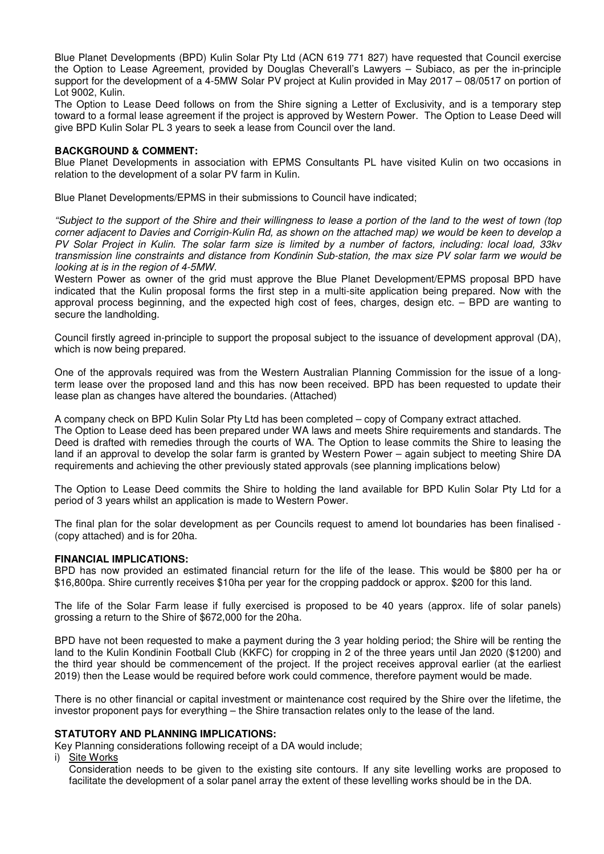Blue Planet Developments (BPD) Kulin Solar Pty Ltd (ACN 619 771 827) have requested that Council exercise the Option to Lease Agreement, provided by Douglas Cheverall's Lawyers – Subiaco, as per the in-principle support for the development of a 4-5MW Solar PV project at Kulin provided in May 2017 – 08/0517 on portion of Lot 9002, Kulin.

The Option to Lease Deed follows on from the Shire signing a Letter of Exclusivity, and is a temporary step toward to a formal lease agreement if the project is approved by Western Power. The Option to Lease Deed will give BPD Kulin Solar PL 3 years to seek a lease from Council over the land.

#### **BACKGROUND & COMMENT:**

Blue Planet Developments in association with EPMS Consultants PL have visited Kulin on two occasions in relation to the development of a solar PV farm in Kulin.

Blue Planet Developments/EPMS in their submissions to Council have indicated;

*"Subject to the support of the Shire and their willingness to lease a portion of the land to the west of town (top corner adjacent to Davies and Corrigin-Kulin Rd, as shown on the attached map) we would be keen to develop a PV Solar Project in Kulin. The solar farm size is limited by a number of factors, including: local load, 33kv transmission line constraints and distance from Kondinin Sub-station, the max size PV solar farm we would be looking at is in the region of 4-5MW.* 

Western Power as owner of the grid must approve the Blue Planet Development/EPMS proposal BPD have indicated that the Kulin proposal forms the first step in a multi-site application being prepared. Now with the approval process beginning, and the expected high cost of fees, charges, design etc. – BPD are wanting to secure the landholding.

Council firstly agreed in-principle to support the proposal subject to the issuance of development approval (DA), which is now being prepared.

One of the approvals required was from the Western Australian Planning Commission for the issue of a longterm lease over the proposed land and this has now been received. BPD has been requested to update their lease plan as changes have altered the boundaries. (Attached)

A company check on BPD Kulin Solar Pty Ltd has been completed – copy of Company extract attached. The Option to Lease deed has been prepared under WA laws and meets Shire requirements and standards. The Deed is drafted with remedies through the courts of WA. The Option to lease commits the Shire to leasing the land if an approval to develop the solar farm is granted by Western Power – again subject to meeting Shire DA requirements and achieving the other previously stated approvals (see planning implications below)

The Option to Lease Deed commits the Shire to holding the land available for BPD Kulin Solar Pty Ltd for a period of 3 years whilst an application is made to Western Power.

The final plan for the solar development as per Councils request to amend lot boundaries has been finalised - (copy attached) and is for 20ha.

#### **FINANCIAL IMPLICATIONS:**

BPD has now provided an estimated financial return for the life of the lease. This would be \$800 per ha or \$16,800pa. Shire currently receives \$10ha per year for the cropping paddock or approx. \$200 for this land.

The life of the Solar Farm lease if fully exercised is proposed to be 40 years (approx. life of solar panels) grossing a return to the Shire of \$672,000 for the 20ha.

BPD have not been requested to make a payment during the 3 year holding period; the Shire will be renting the land to the Kulin Kondinin Football Club (KKFC) for cropping in 2 of the three years until Jan 2020 (\$1200) and the third year should be commencement of the project. If the project receives approval earlier (at the earliest 2019) then the Lease would be required before work could commence, therefore payment would be made.

There is no other financial or capital investment or maintenance cost required by the Shire over the lifetime, the investor proponent pays for everything – the Shire transaction relates only to the lease of the land.

#### **STATUTORY AND PLANNING IMPLICATIONS:**

Key Planning considerations following receipt of a DA would include;

i) Site Works

Consideration needs to be given to the existing site contours. If any site levelling works are proposed to facilitate the development of a solar panel array the extent of these levelling works should be in the DA.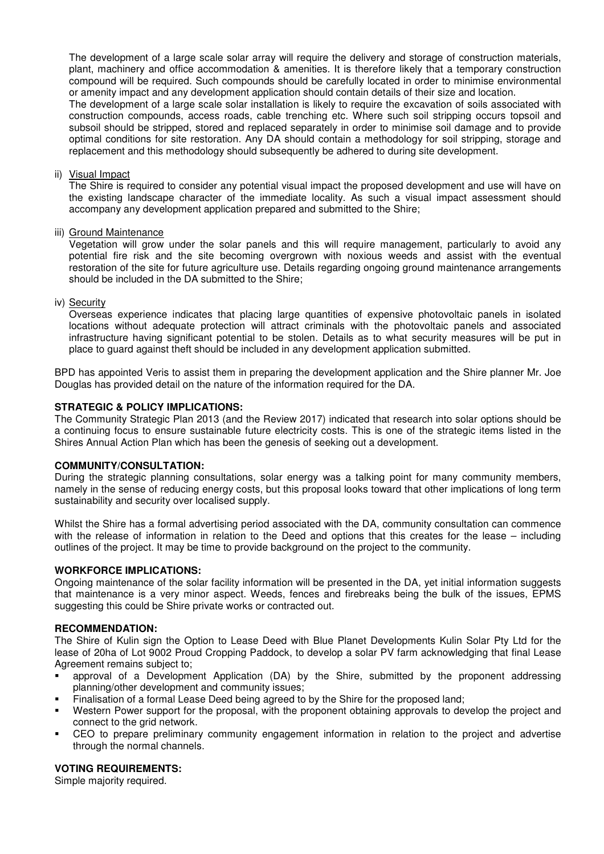The development of a large scale solar array will require the delivery and storage of construction materials, plant, machinery and office accommodation & amenities. It is therefore likely that a temporary construction compound will be required. Such compounds should be carefully located in order to minimise environmental or amenity impact and any development application should contain details of their size and location.

The development of a large scale solar installation is likely to require the excavation of soils associated with construction compounds, access roads, cable trenching etc. Where such soil stripping occurs topsoil and subsoil should be stripped, stored and replaced separately in order to minimise soil damage and to provide optimal conditions for site restoration. Any DA should contain a methodology for soil stripping, storage and replacement and this methodology should subsequently be adhered to during site development.

#### ii) Visual Impact

The Shire is required to consider any potential visual impact the proposed development and use will have on the existing landscape character of the immediate locality. As such a visual impact assessment should accompany any development application prepared and submitted to the Shire;

#### iii) Ground Maintenance

Vegetation will grow under the solar panels and this will require management, particularly to avoid any potential fire risk and the site becoming overgrown with noxious weeds and assist with the eventual restoration of the site for future agriculture use. Details regarding ongoing ground maintenance arrangements should be included in the DA submitted to the Shire;

#### iv) Security

Overseas experience indicates that placing large quantities of expensive photovoltaic panels in isolated locations without adequate protection will attract criminals with the photovoltaic panels and associated infrastructure having significant potential to be stolen. Details as to what security measures will be put in place to guard against theft should be included in any development application submitted.

BPD has appointed Veris to assist them in preparing the development application and the Shire planner Mr. Joe Douglas has provided detail on the nature of the information required for the DA.

#### **STRATEGIC & POLICY IMPLICATIONS:**

The Community Strategic Plan 2013 (and the Review 2017) indicated that research into solar options should be a continuing focus to ensure sustainable future electricity costs. This is one of the strategic items listed in the Shires Annual Action Plan which has been the genesis of seeking out a development.

#### **COMMUNITY/CONSULTATION:**

During the strategic planning consultations, solar energy was a talking point for many community members, namely in the sense of reducing energy costs, but this proposal looks toward that other implications of long term sustainability and security over localised supply.

Whilst the Shire has a formal advertising period associated with the DA, community consultation can commence with the release of information in relation to the Deed and options that this creates for the lease – including outlines of the project. It may be time to provide background on the project to the community.

#### **WORKFORCE IMPLICATIONS:**

Ongoing maintenance of the solar facility information will be presented in the DA, yet initial information suggests that maintenance is a very minor aspect. Weeds, fences and firebreaks being the bulk of the issues, EPMS suggesting this could be Shire private works or contracted out.

#### **RECOMMENDATION:**

The Shire of Kulin sign the Option to Lease Deed with Blue Planet Developments Kulin Solar Pty Ltd for the lease of 20ha of Lot 9002 Proud Cropping Paddock, to develop a solar PV farm acknowledging that final Lease Agreement remains subject to:

- approval of a Development Application (DA) by the Shire, submitted by the proponent addressing planning/other development and community issues;
- Finalisation of a formal Lease Deed being agreed to by the Shire for the proposed land;
- Western Power support for the proposal, with the proponent obtaining approvals to develop the project and connect to the grid network.
- CEO to prepare preliminary community engagement information in relation to the project and advertise through the normal channels.

#### **VOTING REQUIREMENTS:**

Simple majority required.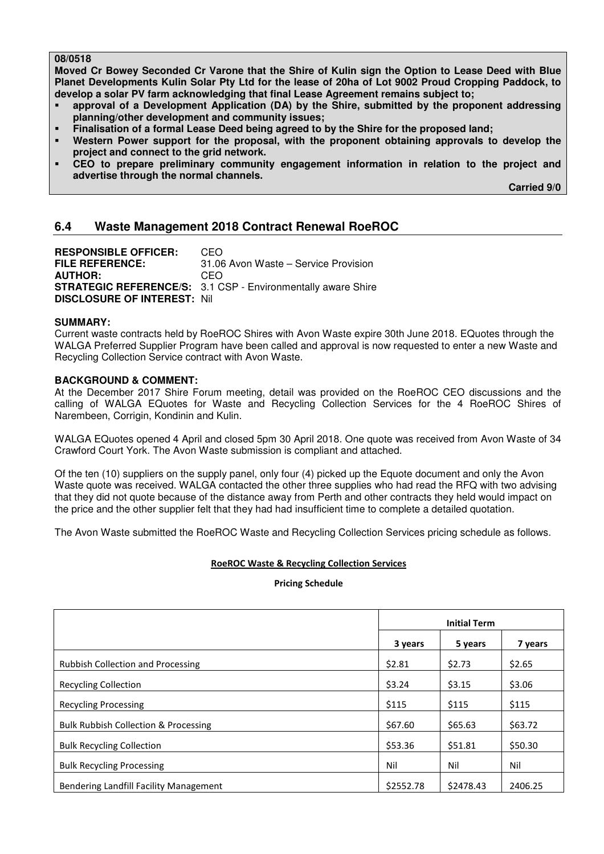# **08/0518**

**Moved Cr Bowey Seconded Cr Varone that the Shire of Kulin sign the Option to Lease Deed with Blue Planet Developments Kulin Solar Pty Ltd for the lease of 20ha of Lot 9002 Proud Cropping Paddock, to develop a solar PV farm acknowledging that final Lease Agreement remains subject to;** 

- **approval of a Development Application (DA) by the Shire, submitted by the proponent addressing planning/other development and community issues;**
- **Finalisation of a formal Lease Deed being agreed to by the Shire for the proposed land;**
- **Western Power support for the proposal, with the proponent obtaining approvals to develop the project and connect to the grid network.**
- **CEO to prepare preliminary community engagement information in relation to the project and advertise through the normal channels.**

 **Carried 9/0** 

# **6.4 Waste Management 2018 Contract Renewal RoeROC**

**RESPONSIBLE OFFICER:** CEO **FILE REFERENCE:** 31.06 Avon Waste – Service Provision **AUTHOR:** CEO **STRATEGIC REFERENCE/S:** 3.1 CSP - Environmentally aware Shire **DISCLOSURE OF INTEREST:** Nil

#### **SUMMARY:**

Current waste contracts held by RoeROC Shires with Avon Waste expire 30th June 2018. EQuotes through the WALGA Preferred Supplier Program have been called and approval is now requested to enter a new Waste and Recycling Collection Service contract with Avon Waste.

#### **BACKGROUND & COMMENT:**

At the December 2017 Shire Forum meeting, detail was provided on the RoeROC CEO discussions and the calling of WALGA EQuotes for Waste and Recycling Collection Services for the 4 RoeROC Shires of Narembeen, Corrigin, Kondinin and Kulin.

WALGA EQuotes opened 4 April and closed 5pm 30 April 2018. One quote was received from Avon Waste of 34 Crawford Court York. The Avon Waste submission is compliant and attached.

Of the ten (10) suppliers on the supply panel, only four (4) picked up the Equote document and only the Avon Waste quote was received. WALGA contacted the other three supplies who had read the RFQ with two advising that they did not quote because of the distance away from Perth and other contracts they held would impact on the price and the other supplier felt that they had had insufficient time to complete a detailed quotation.

The Avon Waste submitted the RoeROC Waste and Recycling Collection Services pricing schedule as follows.

#### **RoeROC Waste & Recycling Collection Services**

**Pricing Schedule** 

|                                                 | <b>Initial Term</b> |           |         |
|-------------------------------------------------|---------------------|-----------|---------|
|                                                 | 3 years             | 5 years   | 7 years |
| <b>Rubbish Collection and Processing</b>        | \$2.81              | \$2.73    | \$2.65  |
| <b>Recycling Collection</b>                     | \$3.24              | \$3.15    | \$3.06  |
| <b>Recycling Processing</b>                     | \$115               | \$115     | \$115   |
| <b>Bulk Rubbish Collection &amp; Processing</b> | \$67.60             | \$65.63   | \$63.72 |
| <b>Bulk Recycling Collection</b>                | \$53.36             | \$51.81   | \$50.30 |
| <b>Bulk Recycling Processing</b>                | Nil                 | Nil       | Nil     |
| Bendering Landfill Facility Management          | \$2552.78           | \$2478.43 | 2406.25 |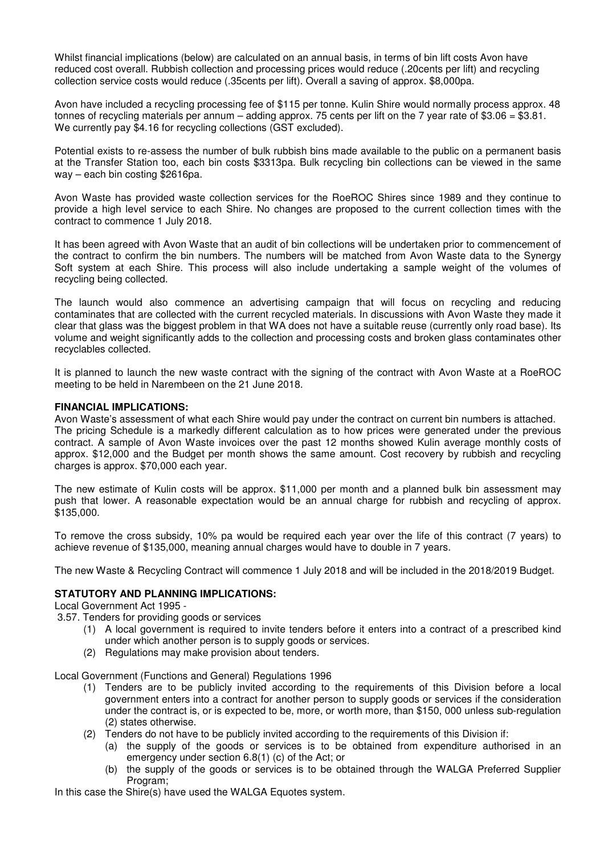Whilst financial implications (below) are calculated on an annual basis, in terms of bin lift costs Avon have reduced cost overall. Rubbish collection and processing prices would reduce (.20cents per lift) and recycling collection service costs would reduce (.35cents per lift). Overall a saving of approx. \$8,000pa.

Avon have included a recycling processing fee of \$115 per tonne. Kulin Shire would normally process approx. 48 tonnes of recycling materials per annum – adding approx. 75 cents per lift on the 7 year rate of \$3.06 = \$3.81. We currently pay \$4.16 for recycling collections (GST excluded).

Potential exists to re-assess the number of bulk rubbish bins made available to the public on a permanent basis at the Transfer Station too, each bin costs \$3313pa. Bulk recycling bin collections can be viewed in the same way – each bin costing \$2616pa.

Avon Waste has provided waste collection services for the RoeROC Shires since 1989 and they continue to provide a high level service to each Shire. No changes are proposed to the current collection times with the contract to commence 1 July 2018.

It has been agreed with Avon Waste that an audit of bin collections will be undertaken prior to commencement of the contract to confirm the bin numbers. The numbers will be matched from Avon Waste data to the Synergy Soft system at each Shire. This process will also include undertaking a sample weight of the volumes of recycling being collected.

The launch would also commence an advertising campaign that will focus on recycling and reducing contaminates that are collected with the current recycled materials. In discussions with Avon Waste they made it clear that glass was the biggest problem in that WA does not have a suitable reuse (currently only road base). Its volume and weight significantly adds to the collection and processing costs and broken glass contaminates other recyclables collected.

It is planned to launch the new waste contract with the signing of the contract with Avon Waste at a RoeROC meeting to be held in Narembeen on the 21 June 2018.

#### **FINANCIAL IMPLICATIONS:**

Avon Waste's assessment of what each Shire would pay under the contract on current bin numbers is attached. The pricing Schedule is a markedly different calculation as to how prices were generated under the previous contract. A sample of Avon Waste invoices over the past 12 months showed Kulin average monthly costs of approx. \$12,000 and the Budget per month shows the same amount. Cost recovery by rubbish and recycling charges is approx. \$70,000 each year.

The new estimate of Kulin costs will be approx. \$11,000 per month and a planned bulk bin assessment may push that lower. A reasonable expectation would be an annual charge for rubbish and recycling of approx. \$135,000.

To remove the cross subsidy, 10% pa would be required each year over the life of this contract (7 years) to achieve revenue of \$135,000, meaning annual charges would have to double in 7 years.

The new Waste & Recycling Contract will commence 1 July 2018 and will be included in the 2018/2019 Budget.

# **STATUTORY AND PLANNING IMPLICATIONS:**

Local Government Act 1995 -

3.57. Tenders for providing goods or services

- (1) A local government is required to invite tenders before it enters into a contract of a prescribed kind under which another person is to supply goods or services.
- (2) Regulations may make provision about tenders.

Local Government (Functions and General) Regulations 1996

- (1) Tenders are to be publicly invited according to the requirements of this Division before a local government enters into a contract for another person to supply goods or services if the consideration under the contract is, or is expected to be, more, or worth more, than \$150, 000 unless sub-regulation (2) states otherwise.
- (2) Tenders do not have to be publicly invited according to the requirements of this Division if:
	- (a) the supply of the goods or services is to be obtained from expenditure authorised in an emergency under section 6.8(1) (c) of the Act; or
	- (b) the supply of the goods or services is to be obtained through the WALGA Preferred Supplier Program:

In this case the Shire(s) have used the WALGA Equotes system.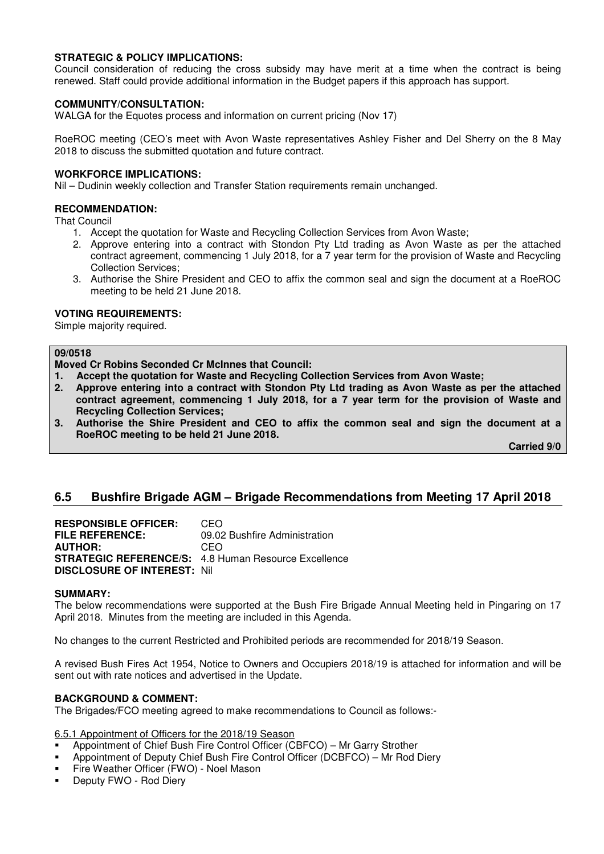# **STRATEGIC & POLICY IMPLICATIONS:**

Council consideration of reducing the cross subsidy may have merit at a time when the contract is being renewed. Staff could provide additional information in the Budget papers if this approach has support.

# **COMMUNITY/CONSULTATION:**

WALGA for the Equotes process and information on current pricing (Nov 17)

RoeROC meeting (CEO's meet with Avon Waste representatives Ashley Fisher and Del Sherry on the 8 May 2018 to discuss the submitted quotation and future contract.

#### **WORKFORCE IMPLICATIONS:**

Nil – Dudinin weekly collection and Transfer Station requirements remain unchanged.

# **RECOMMENDATION:**

That Council

- 1. Accept the quotation for Waste and Recycling Collection Services from Avon Waste;
- 2. Approve entering into a contract with Stondon Pty Ltd trading as Avon Waste as per the attached contract agreement, commencing 1 July 2018, for a 7 year term for the provision of Waste and Recycling Collection Services;
- 3. Authorise the Shire President and CEO to affix the common seal and sign the document at a RoeROC meeting to be held 21 June 2018.

#### **VOTING REQUIREMENTS:**

Simple majority required.

#### **09/0518**

**Moved Cr Robins Seconded Cr McInnes that Council:** 

- **1. Accept the quotation for Waste and Recycling Collection Services from Avon Waste;**
- **2. Approve entering into a contract with Stondon Pty Ltd trading as Avon Waste as per the attached contract agreement, commencing 1 July 2018, for a 7 year term for the provision of Waste and Recycling Collection Services;**
- **3. Authorise the Shire President and CEO to affix the common seal and sign the document at a RoeROC meeting to be held 21 June 2018.**

 **Carried 9/0** 

# **6.5 Bushfire Brigade AGM – Brigade Recommendations from Meeting 17 April 2018**

**RESPONSIBLE OFFICER:** CEO **FILE REFERENCE:** 09.02 Bushfire Administration **AUTHOR:** CEO **STRATEGIC REFERENCE/S:** 4.8 Human Resource Excellence **DISCLOSURE OF INTEREST:** Nil

#### **SUMMARY:**

The below recommendations were supported at the Bush Fire Brigade Annual Meeting held in Pingaring on 17 April 2018. Minutes from the meeting are included in this Agenda.

No changes to the current Restricted and Prohibited periods are recommended for 2018/19 Season.

A revised Bush Fires Act 1954, Notice to Owners and Occupiers 2018/19 is attached for information and will be sent out with rate notices and advertised in the Update.

#### **BACKGROUND & COMMENT:**

The Brigades/FCO meeting agreed to make recommendations to Council as follows:-

6.5.1 Appointment of Officers for the 2018/19 Season

- Appointment of Chief Bush Fire Control Officer (CBFCO) Mr Garry Strother
- Appointment of Deputy Chief Bush Fire Control Officer (DCBFCO) Mr Rod Diery
- Fire Weather Officer (FWO) Noel Mason
- Deputy FWO Rod Diery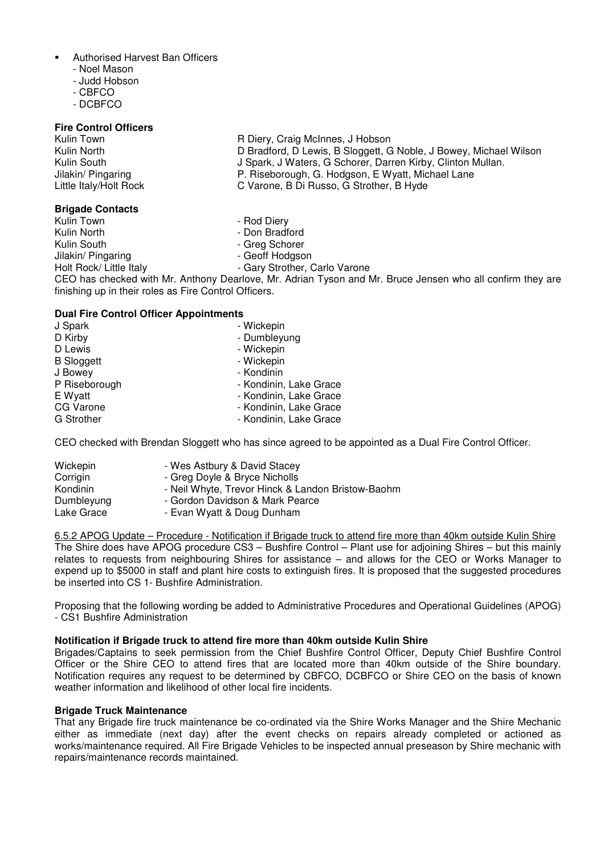- Authorised Harvest Ban Officers
	- Noel Mason
	- Judd Hobson
	- CBFCO
	- DCBFCO

#### **Fire Control Officers**

# **Brigade Contacts**

Jilakin/ Pingaring

Kulin Town **R** Diery, Craig McInnes, J Hobson<br>Kulin North **Research Contact Contract D** Bradford. D Lewis. B Sloggett. G Kulin North **D** Bradford, D Lewis, B Sloggett, G Noble, J Bowey, Michael Wilson<br>Kulin South **D** Spark, J Waters, G Schorer, Darren Kirby, Clinton Mullan, Kulin South **J** Spark, J Waters, G Schorer, Darren Kirby, Clinton Mullan.<br>Jilakin/ Pingaring **Julies Commence** P. Riseborough, G. Hodgson, E Wyatt, Michael Lane Jilakin/ Pingaring **P. Riseborough, G. Hodgson, E Wyatt, Michael Lane**<br>
Little Italy/Holt Rock **C Varone, B Di Russo, G Strother, B Hyde** C Varone, B Di Russo, G Strother, B Hyde

- Kulin Town Rod Diery
	- Don Bradford
- Kulin South **Alternative Scholars Article Schorer**<br>
Jilakin/ Pingaring **Alternative Scholars Article School**<br>
Geoff Hodgson
	-
- Holt Rock/ Little Italy **Fig. 2018** Gary Strother, Carlo Varone

CEO has checked with Mr. Anthony Dearlove, Mr. Adrian Tyson and Mr. Bruce Jensen who all confirm they are finishing up in their roles as Fire Control Officers.

# **Dual Fire Control Officer Appointments**

| J Spark           | - Wickepin             |
|-------------------|------------------------|
| D Kirby           | - Dumbleyung           |
| D Lewis           | - Wickepin             |
| <b>B</b> Sloggett | - Wickepin             |
| J Bowey           | - Kondinin             |
| P Riseborough     | - Kondinin, Lake Grace |
| E Wyatt           | - Kondinin, Lake Grace |
| CG Varone         | - Kondinin, Lake Grace |
| <b>G</b> Strother | - Kondinin, Lake Grace |

CEO checked with Brendan Sloggett who has since agreed to be appointed as a Dual Fire Control Officer.

| Wickepin   | - Wes Astbury & David Stacey                      |
|------------|---------------------------------------------------|
| Corrigin   | - Greg Doyle & Bryce Nicholls                     |
| Kondinin   | - Neil Whyte, Trevor Hinck & Landon Bristow-Baohm |
| Dumbleyung | - Gordon Davidson & Mark Pearce                   |
| Lake Grace | - Evan Wyatt & Doug Dunham                        |

6.5.2 APOG Update – Procedure - Notification if Brigade truck to attend fire more than 40km outside Kulin Shire The Shire does have APOG procedure CS3 – Bushfire Control – Plant use for adjoining Shires – but this mainly relates to requests from neighbouring Shires for assistance – and allows for the CEO or Works Manager to expend up to \$5000 in staff and plant hire costs to extinguish fires. It is proposed that the suggested procedures be inserted into CS 1- Bushfire Administration.

Proposing that the following wording be added to Administrative Procedures and Operational Guidelines (APOG) - CS1 Bushfire Administration

# **Notification if Brigade truck to attend fire more than 40km outside Kulin Shire**

Brigades/Captains to seek permission from the Chief Bushfire Control Officer, Deputy Chief Bushfire Control Officer or the Shire CEO to attend fires that are located more than 40km outside of the Shire boundary. Notification requires any request to be determined by CBFCO, DCBFCO or Shire CEO on the basis of known weather information and likelihood of other local fire incidents.

#### **Brigade Truck Maintenance**

That any Brigade fire truck maintenance be co-ordinated via the Shire Works Manager and the Shire Mechanic either as immediate (next day) after the event checks on repairs already completed or actioned as works/maintenance required. All Fire Brigade Vehicles to be inspected annual preseason by Shire mechanic with repairs/maintenance records maintained.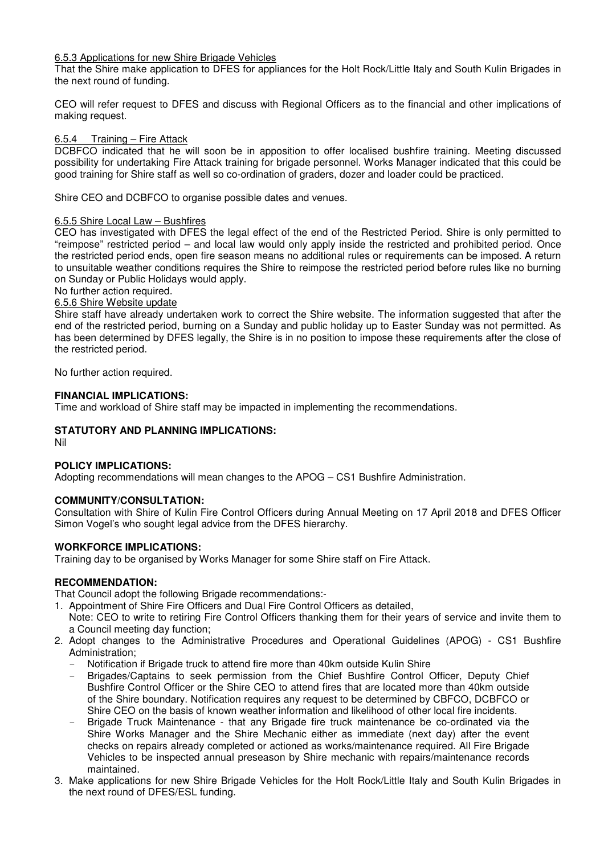# 6.5.3 Applications for new Shire Brigade Vehicles

That the Shire make application to DFES for appliances for the Holt Rock/Little Italy and South Kulin Brigades in the next round of funding.

CEO will refer request to DFES and discuss with Regional Officers as to the financial and other implications of making request.

#### 6.5.4 Training – Fire Attack

DCBFCO indicated that he will soon be in apposition to offer localised bushfire training. Meeting discussed possibility for undertaking Fire Attack training for brigade personnel. Works Manager indicated that this could be good training for Shire staff as well so co-ordination of graders, dozer and loader could be practiced.

Shire CEO and DCBFCO to organise possible dates and venues.

#### 6.5.5 Shire Local Law – Bushfires

CEO has investigated with DFES the legal effect of the end of the Restricted Period. Shire is only permitted to "reimpose" restricted period – and local law would only apply inside the restricted and prohibited period. Once the restricted period ends, open fire season means no additional rules or requirements can be imposed. A return to unsuitable weather conditions requires the Shire to reimpose the restricted period before rules like no burning on Sunday or Public Holidays would apply.

No further action required.

#### 6.5.6 Shire Website update

Shire staff have already undertaken work to correct the Shire website. The information suggested that after the end of the restricted period, burning on a Sunday and public holiday up to Easter Sunday was not permitted. As has been determined by DFES legally, the Shire is in no position to impose these requirements after the close of the restricted period.

No further action required.

#### **FINANCIAL IMPLICATIONS:**

Time and workload of Shire staff may be impacted in implementing the recommendations.

# **STATUTORY AND PLANNING IMPLICATIONS:**

Nil

# **POLICY IMPLICATIONS:**

Adopting recommendations will mean changes to the APOG – CS1 Bushfire Administration.

# **COMMUNITY/CONSULTATION:**

Consultation with Shire of Kulin Fire Control Officers during Annual Meeting on 17 April 2018 and DFES Officer Simon Vogel's who sought legal advice from the DFES hierarchy.

# **WORKFORCE IMPLICATIONS:**

Training day to be organised by Works Manager for some Shire staff on Fire Attack.

#### **RECOMMENDATION:**

That Council adopt the following Brigade recommendations:-

- 1. Appointment of Shire Fire Officers and Dual Fire Control Officers as detailed,
- Note: CEO to write to retiring Fire Control Officers thanking them for their years of service and invite them to a Council meeting day function;
- 2. Adopt changes to the Administrative Procedures and Operational Guidelines (APOG) CS1 Bushfire Administration;
	- Notification if Brigade truck to attend fire more than 40km outside Kulin Shire
	- Brigades/Captains to seek permission from the Chief Bushfire Control Officer, Deputy Chief Bushfire Control Officer or the Shire CEO to attend fires that are located more than 40km outside of the Shire boundary. Notification requires any request to be determined by CBFCO, DCBFCO or Shire CEO on the basis of known weather information and likelihood of other local fire incidents.
	- Brigade Truck Maintenance that any Brigade fire truck maintenance be co-ordinated via the Shire Works Manager and the Shire Mechanic either as immediate (next day) after the event checks on repairs already completed or actioned as works/maintenance required. All Fire Brigade Vehicles to be inspected annual preseason by Shire mechanic with repairs/maintenance records maintained.
- 3. Make applications for new Shire Brigade Vehicles for the Holt Rock/Little Italy and South Kulin Brigades in the next round of DFES/ESL funding.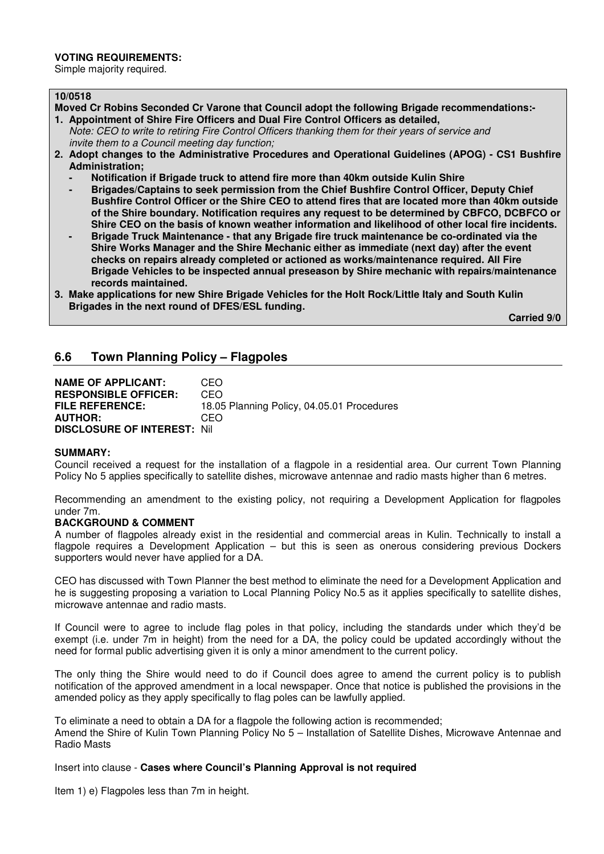#### **VOTING REQUIREMENTS:**

Simple majority required.

#### **10/0518**

- **Moved Cr Robins Seconded Cr Varone that Council adopt the following Brigade recommendations:- 1. Appointment of Shire Fire Officers and Dual Fire Control Officers as detailed,**
- *Note: CEO to write to retiring Fire Control Officers thanking them for their years of service and invite them to a Council meeting day function;*
- **2. Adopt changes to the Administrative Procedures and Operational Guidelines (APOG) CS1 Bushfire Administration;** 
	- **Notification if Brigade truck to attend fire more than 40km outside Kulin Shire**
	- **Brigades/Captains to seek permission from the Chief Bushfire Control Officer, Deputy Chief Bushfire Control Officer or the Shire CEO to attend fires that are located more than 40km outside of the Shire boundary. Notification requires any request to be determined by CBFCO, DCBFCO or Shire CEO on the basis of known weather information and likelihood of other local fire incidents.**
	- Brigade Truck Maintenance that any Brigade fire truck maintenance be co-ordinated via the **Shire Works Manager and the Shire Mechanic either as immediate (next day) after the event checks on repairs already completed or actioned as works/maintenance required. All Fire Brigade Vehicles to be inspected annual preseason by Shire mechanic with repairs/maintenance records maintained.**
- **3. Make applications for new Shire Brigade Vehicles for the Holt Rock/Little Italy and South Kulin Brigades in the next round of DFES/ESL funding.**

 **Carried 9/0** 

# **6.6 Town Planning Policy – Flagpoles**

| <b>NAME OF APPLICANT:</b>           | CEO                                        |
|-------------------------------------|--------------------------------------------|
| <b>RESPONSIBLE OFFICER:</b>         | CEO                                        |
| <b>FILE REFERENCE:</b>              | 18.05 Planning Policy, 04.05.01 Procedures |
| <b>AUTHOR:</b>                      | CEO                                        |
| <b>DISCLOSURE OF INTEREST: Nill</b> |                                            |

#### **SUMMARY:**

Council received a request for the installation of a flagpole in a residential area. Our current Town Planning Policy No 5 applies specifically to satellite dishes, microwave antennae and radio masts higher than 6 metres.

Recommending an amendment to the existing policy, not requiring a Development Application for flagpoles under 7m.

#### **BACKGROUND & COMMENT**

A number of flagpoles already exist in the residential and commercial areas in Kulin. Technically to install a flagpole requires a Development Application – but this is seen as onerous considering previous Dockers supporters would never have applied for a DA.

CEO has discussed with Town Planner the best method to eliminate the need for a Development Application and he is suggesting proposing a variation to Local Planning Policy No.5 as it applies specifically to satellite dishes, microwave antennae and radio masts.

If Council were to agree to include flag poles in that policy, including the standards under which they'd be exempt (i.e. under 7m in height) from the need for a DA, the policy could be updated accordingly without the need for formal public advertising given it is only a minor amendment to the current policy.

The only thing the Shire would need to do if Council does agree to amend the current policy is to publish notification of the approved amendment in a local newspaper. Once that notice is published the provisions in the amended policy as they apply specifically to flag poles can be lawfully applied.

To eliminate a need to obtain a DA for a flagpole the following action is recommended;

Amend the Shire of Kulin Town Planning Policy No 5 – Installation of Satellite Dishes, Microwave Antennae and Radio Masts

Insert into clause - **Cases where Council's Planning Approval is not required**

Item 1) e) Flagpoles less than 7m in height.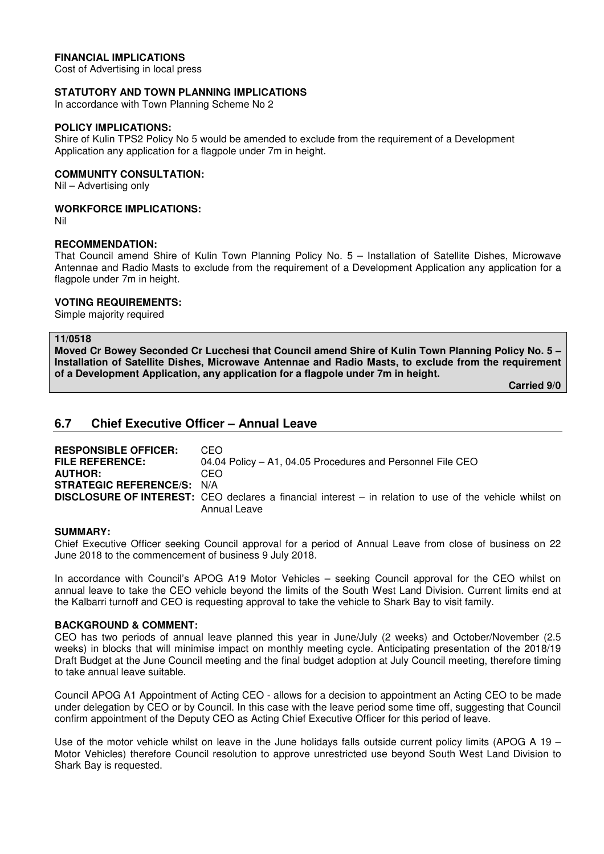# **FINANCIAL IMPLICATIONS**

Cost of Advertising in local press

#### **STATUTORY AND TOWN PLANNING IMPLICATIONS**

In accordance with Town Planning Scheme No 2

#### **POLICY IMPLICATIONS:**

Shire of Kulin TPS2 Policy No 5 would be amended to exclude from the requirement of a Development Application any application for a flagpole under 7m in height.

# **COMMUNITY CONSULTATION:**

Nil – Advertising only

#### **WORKFORCE IMPLICATIONS:**

Nil

#### **RECOMMENDATION:**

That Council amend Shire of Kulin Town Planning Policy No. 5 – Installation of Satellite Dishes, Microwave Antennae and Radio Masts to exclude from the requirement of a Development Application any application for a flagpole under 7m in height.

#### **VOTING REQUIREMENTS:**

Simple majority required

# **11/0518**

**Moved Cr Bowey Seconded Cr Lucchesi that Council amend Shire of Kulin Town Planning Policy No. 5 – Installation of Satellite Dishes, Microwave Antennae and Radio Masts, to exclude from the requirement of a Development Application, any application for a flagpole under 7m in height.** 

 **Carried 9/0** 

# **6.7 Chief Executive Officer – Annual Leave**

| <b>RESPONSIBLE OFFICER:</b>       | CEO.                                                                                                             |
|-----------------------------------|------------------------------------------------------------------------------------------------------------------|
| <b>FILE REFERENCE:</b>            | 04.04 Policy – A1, 04.05 Procedures and Personnel File CEO                                                       |
| <b>AUTHOR:</b>                    | CEO                                                                                                              |
| <b>STRATEGIC REFERENCE/S: N/A</b> |                                                                                                                  |
|                                   | <b>DISCLOSURE OF INTEREST:</b> CEO declares a financial interest $-$ in relation to use of the vehicle whilst on |
|                                   | Annual Leave                                                                                                     |

#### **SUMMARY:**

Chief Executive Officer seeking Council approval for a period of Annual Leave from close of business on 22 June 2018 to the commencement of business 9 July 2018.

In accordance with Council's APOG A19 Motor Vehicles – seeking Council approval for the CEO whilst on annual leave to take the CEO vehicle beyond the limits of the South West Land Division. Current limits end at the Kalbarri turnoff and CEO is requesting approval to take the vehicle to Shark Bay to visit family.

#### **BACKGROUND & COMMENT:**

CEO has two periods of annual leave planned this year in June/July (2 weeks) and October/November (2.5 weeks) in blocks that will minimise impact on monthly meeting cycle. Anticipating presentation of the 2018/19 Draft Budget at the June Council meeting and the final budget adoption at July Council meeting, therefore timing to take annual leave suitable.

Council APOG A1 Appointment of Acting CEO - allows for a decision to appointment an Acting CEO to be made under delegation by CEO or by Council. In this case with the leave period some time off, suggesting that Council confirm appointment of the Deputy CEO as Acting Chief Executive Officer for this period of leave.

Use of the motor vehicle whilst on leave in the June holidays falls outside current policy limits (APOG A 19 – Motor Vehicles) therefore Council resolution to approve unrestricted use beyond South West Land Division to Shark Bay is requested.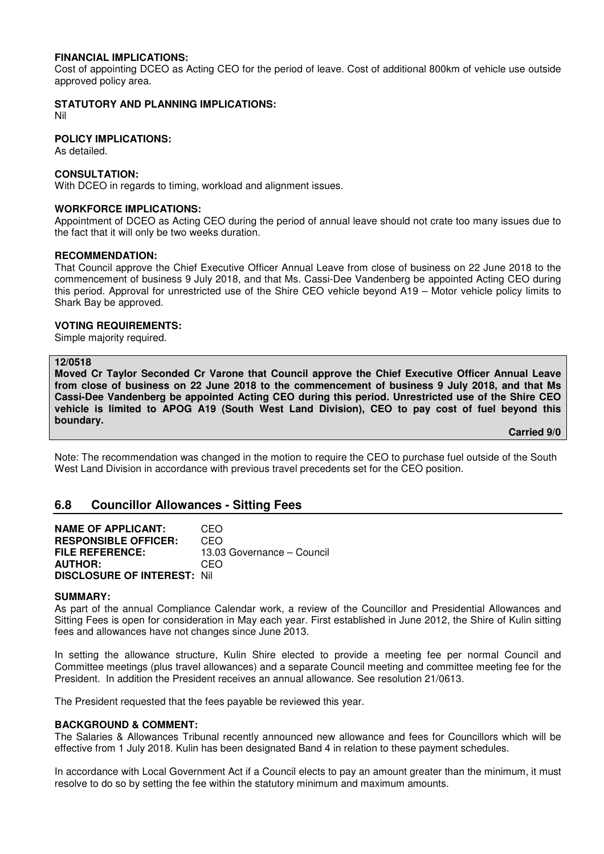#### **FINANCIAL IMPLICATIONS:**

Cost of appointing DCEO as Acting CEO for the period of leave. Cost of additional 800km of vehicle use outside approved policy area.

#### **STATUTORY AND PLANNING IMPLICATIONS:**

Nil

# **POLICY IMPLICATIONS:**

As detailed.

#### **CONSULTATION:**

With DCEO in regards to timing, workload and alignment issues.

#### **WORKFORCE IMPLICATIONS:**

Appointment of DCEO as Acting CEO during the period of annual leave should not crate too many issues due to the fact that it will only be two weeks duration.

#### **RECOMMENDATION:**

That Council approve the Chief Executive Officer Annual Leave from close of business on 22 June 2018 to the commencement of business 9 July 2018, and that Ms. Cassi-Dee Vandenberg be appointed Acting CEO during this period. Approval for unrestricted use of the Shire CEO vehicle beyond A19 – Motor vehicle policy limits to Shark Bay be approved.

#### **VOTING REQUIREMENTS:**

Simple majority required.

#### **12/0518**

**Moved Cr Taylor Seconded Cr Varone that Council approve the Chief Executive Officer Annual Leave from close of business on 22 June 2018 to the commencement of business 9 July 2018, and that Ms Cassi-Dee Vandenberg be appointed Acting CEO during this period. Unrestricted use of the Shire CEO vehicle is limited to APOG A19 (South West Land Division), CEO to pay cost of fuel beyond this boundary.**

#### **Carried 9/0**

Note: The recommendation was changed in the motion to require the CEO to purchase fuel outside of the South West Land Division in accordance with previous travel precedents set for the CEO position.

# **6.8 Councillor Allowances - Sitting Fees**

**NAME OF APPLICANT:** CEO **RESPONSIBLE OFFICER:** CEO **FILE REFERENCE:** 13.03 Governance – Council **AUTHOR: DISCLOSURE OF INTEREST:** Nil

#### **SUMMARY:**

As part of the annual Compliance Calendar work, a review of the Councillor and Presidential Allowances and Sitting Fees is open for consideration in May each year. First established in June 2012, the Shire of Kulin sitting fees and allowances have not changes since June 2013.

In setting the allowance structure, Kulin Shire elected to provide a meeting fee per normal Council and Committee meetings (plus travel allowances) and a separate Council meeting and committee meeting fee for the President. In addition the President receives an annual allowance. See resolution 21/0613.

The President requested that the fees payable be reviewed this year.

#### **BACKGROUND & COMMENT:**

The Salaries & Allowances Tribunal recently announced new allowance and fees for Councillors which will be effective from 1 July 2018. Kulin has been designated Band 4 in relation to these payment schedules.

In accordance with Local Government Act if a Council elects to pay an amount greater than the minimum, it must resolve to do so by setting the fee within the statutory minimum and maximum amounts.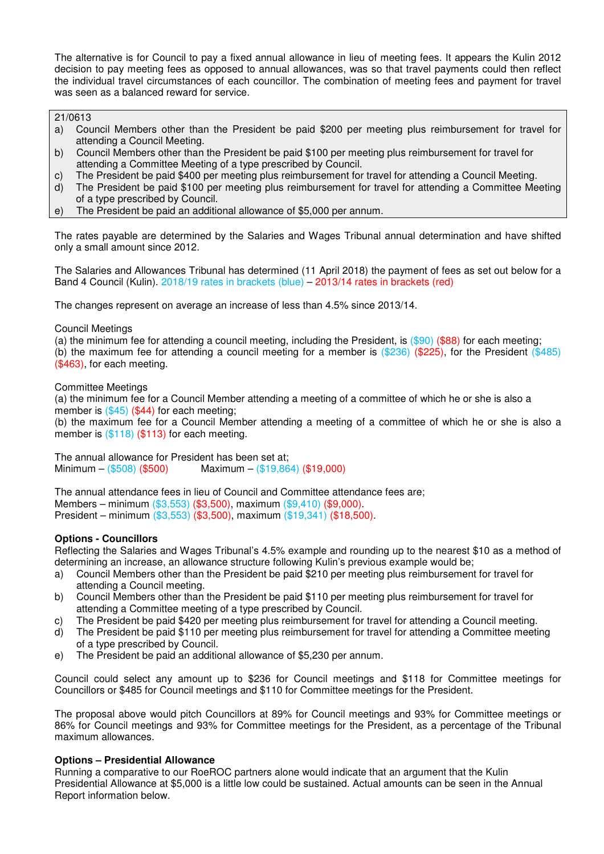The alternative is for Council to pay a fixed annual allowance in lieu of meeting fees. It appears the Kulin 2012 decision to pay meeting fees as opposed to annual allowances, was so that travel payments could then reflect the individual travel circumstances of each councillor. The combination of meeting fees and payment for travel was seen as a balanced reward for service.

21/0613

- a) Council Members other than the President be paid \$200 per meeting plus reimbursement for travel for attending a Council Meeting.
- b) Council Members other than the President be paid \$100 per meeting plus reimbursement for travel for attending a Committee Meeting of a type prescribed by Council.
- c) The President be paid \$400 per meeting plus reimbursement for travel for attending a Council Meeting.
- d) The President be paid \$100 per meeting plus reimbursement for travel for attending a Committee Meeting of a type prescribed by Council.
- e) The President be paid an additional allowance of \$5,000 per annum.

The rates payable are determined by the Salaries and Wages Tribunal annual determination and have shifted only a small amount since 2012.

The Salaries and Allowances Tribunal has determined (11 April 2018) the payment of fees as set out below for a Band 4 Council (Kulin). 2018/19 rates in brackets (blue) – 2013/14 rates in brackets (red)

The changes represent on average an increase of less than 4.5% since 2013/14.

#### Council Meetings

(a) the minimum fee for attending a council meeting, including the President, is (\$90) (\$88) for each meeting;

(b) the maximum fee for attending a council meeting for a member is  $(\$236)$  (\$225), for the President (\$485) (\$463), for each meeting.

#### Committee Meetings

(a) the minimum fee for a Council Member attending a meeting of a committee of which he or she is also a member is  $(\$45)$  (\$44) for each meeting;

(b) the maximum fee for a Council Member attending a meeting of a committee of which he or she is also a member is  $(\$118)$   $(\$113)$  for each meeting.

The annual allowance for President has been set at; Minimum – (\$508) (\$500) Maximum – (\$19,864) (\$19,000)

The annual attendance fees in lieu of Council and Committee attendance fees are; Members – minimum (\$3,553) (\$3,500), maximum (\$9,410) (\$9,000). President – minimum (\$3,553) (\$3,500), maximum (\$19,341) (\$18,500).

# **Options - Councillors**

Reflecting the Salaries and Wages Tribunal's 4.5% example and rounding up to the nearest \$10 as a method of determining an increase, an allowance structure following Kulin's previous example would be;

- a) Council Members other than the President be paid \$210 per meeting plus reimbursement for travel for attending a Council meeting.
- b) Council Members other than the President be paid \$110 per meeting plus reimbursement for travel for attending a Committee meeting of a type prescribed by Council.
- c) The President be paid \$420 per meeting plus reimbursement for travel for attending a Council meeting.
- d) The President be paid \$110 per meeting plus reimbursement for travel for attending a Committee meeting of a type prescribed by Council.
- e) The President be paid an additional allowance of \$5,230 per annum.

Council could select any amount up to \$236 for Council meetings and \$118 for Committee meetings for Councillors or \$485 for Council meetings and \$110 for Committee meetings for the President.

The proposal above would pitch Councillors at 89% for Council meetings and 93% for Committee meetings or 86% for Council meetings and 93% for Committee meetings for the President, as a percentage of the Tribunal maximum allowances.

# **Options – Presidential Allowance**

Running a comparative to our RoeROC partners alone would indicate that an argument that the Kulin Presidential Allowance at \$5,000 is a little low could be sustained. Actual amounts can be seen in the Annual Report information below.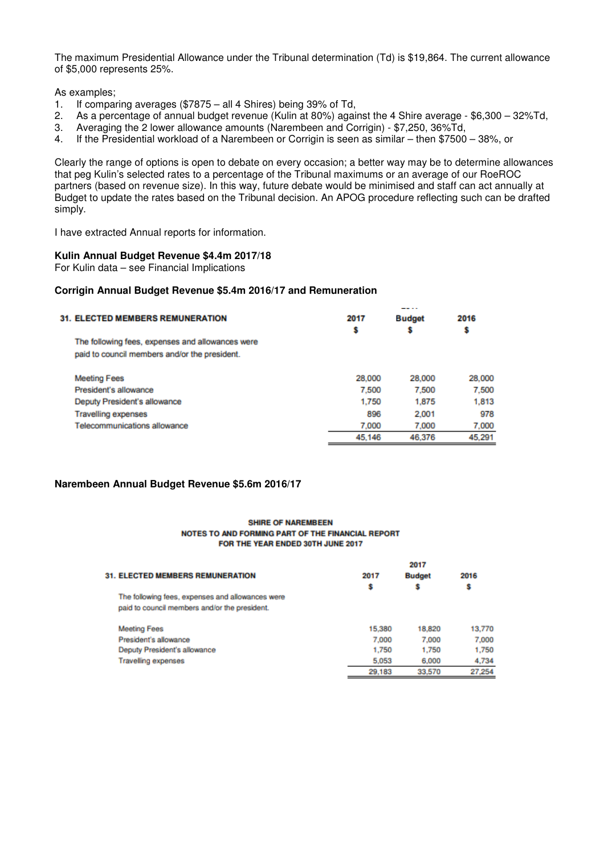The maximum Presidential Allowance under the Tribunal determination (Td) is \$19,864. The current allowance of \$5,000 represents 25%.

As examples;

- 1. If comparing averages (\$7875 all 4 Shires) being 39% of Td,
- 2. As a percentage of annual budget revenue (Kulin at 80%) against the 4 Shire average \$6,300 32%Td,<br>3. Averaging the 2 lower allowance amounts (Narembeen and Corrigin) \$7,250, 36%Td,
- 3. Averaging the 2 lower allowance amounts (Narembeen and Corrigin) \$7,250, 36%Td,
- 4. If the Presidential workload of a Narembeen or Corrigin is seen as similar then \$7500 38%, or

Clearly the range of options is open to debate on every occasion; a better way may be to determine allowances that peg Kulin's selected rates to a percentage of the Tribunal maximums or an average of our RoeROC partners (based on revenue size). In this way, future debate would be minimised and staff can act annually at Budget to update the rates based on the Tribunal decision. An APOG procedure reflecting such can be drafted simply.

I have extracted Annual reports for information.

#### **Kulin Annual Budget Revenue \$4.4m 2017/18**

For Kulin data – see Financial Implications

#### **Corrigin Annual Budget Revenue \$5.4m 2016/17 and Remuneration**

| <b>31. ELECTED MEMBERS REMUNERATION</b>          | 2017   | Budget | 2016   |
|--------------------------------------------------|--------|--------|--------|
|                                                  | s      | \$     | \$     |
| The following fees, expenses and allowances were |        |        |        |
| paid to council members and/or the president.    |        |        |        |
| <b>Meeting Fees</b>                              | 28,000 | 28,000 | 28,000 |
| President's allowance                            | 7.500  | 7.500  | 7.500  |
| Deputy President's allowance                     | 1.750  | 1,875  | 1,813  |
| <b>Travelling expenses</b>                       | 896    | 2.001  | 978    |
| Telecommunications allowance                     | 7.000  | 7.000  | 7.000  |
|                                                  | 45.146 | 46,376 | 45.291 |

# **Narembeen Annual Budget Revenue \$5.6m 2016/17**

#### **SHIRE OF NAREMBEEN** NOTES TO AND FORMING PART OF THE FINANCIAL REPORT FOR THE YEAR ENDED 30TH JUNE 2017

|                                                  |        | 2017          |        |
|--------------------------------------------------|--------|---------------|--------|
| <b>31. ELECTED MEMBERS REMUNERATION</b>          | 2017   | <b>Budget</b> | 2016   |
|                                                  | s      | \$            | s      |
| The following fees, expenses and allowances were |        |               |        |
| paid to council members and/or the president.    |        |               |        |
| <b>Meeting Fees</b>                              | 15,380 | 18,820        | 13,770 |
| President's allowance                            | 7.000  | 7,000         | 7,000  |
| Deputy President's allowance                     | 1,750  | 1,750         | 1,750  |
| <b>Travelling expenses</b>                       | 5.053  | 6,000         | 4.734  |
|                                                  | 29.183 | 33,570        | 27.254 |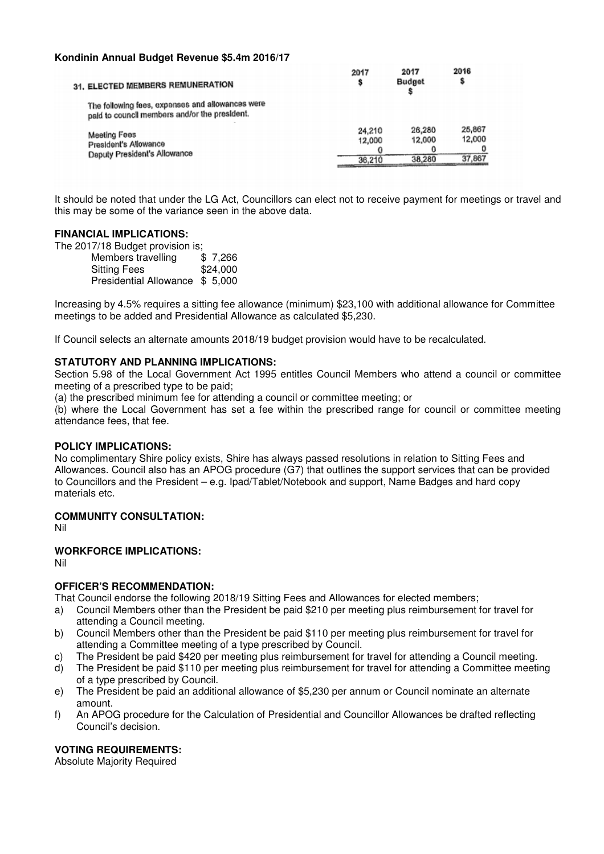# **Kondinin Annual Budget Revenue \$5.4m 2016/17**

| 31. ELECTED MEMBERS REMUNERATION                                                                  | 2017                               | 2017<br>Budget             | 2016                       |
|---------------------------------------------------------------------------------------------------|------------------------------------|----------------------------|----------------------------|
| The following fees, expenses and allowances were<br>paid to council members and/or the president. |                                    |                            |                            |
| Meeting Fees<br>President's Allowance<br>Deputy President's Allowance                             | 24,210<br>12,000<br>36,210<br>____ | 26,280<br>12,000<br>38.280 | 25,867<br>12,000<br>37.867 |

It should be noted that under the LG Act, Councillors can elect not to receive payment for meetings or travel and this may be some of the variance seen in the above data.

# **FINANCIAL IMPLICATIONS:**

The 2017/18 Budget provision is;

Members travelling \$7,266 Sitting Fees \$24,000 Presidential Allowance \$ 5,000

Increasing by 4.5% requires a sitting fee allowance (minimum) \$23,100 with additional allowance for Committee meetings to be added and Presidential Allowance as calculated \$5,230.

If Council selects an alternate amounts 2018/19 budget provision would have to be recalculated.

# **STATUTORY AND PLANNING IMPLICATIONS:**

Section 5.98 of the Local Government Act 1995 entitles Council Members who attend a council or committee meeting of a prescribed type to be paid;

(a) the prescribed minimum fee for attending a council or committee meeting; or

(b) where the Local Government has set a fee within the prescribed range for council or committee meeting attendance fees, that fee.

# **POLICY IMPLICATIONS:**

No complimentary Shire policy exists, Shire has always passed resolutions in relation to Sitting Fees and Allowances. Council also has an APOG procedure (G7) that outlines the support services that can be provided to Councillors and the President – e.g. Ipad/Tablet/Notebook and support, Name Badges and hard copy materials etc.

# **COMMUNITY CONSULTATION:**

Nil

# **WORKFORCE IMPLICATIONS:**

Nil

# **OFFICER'S RECOMMENDATION:**

That Council endorse the following 2018/19 Sitting Fees and Allowances for elected members;

- a) Council Members other than the President be paid \$210 per meeting plus reimbursement for travel for attending a Council meeting.
- b) Council Members other than the President be paid \$110 per meeting plus reimbursement for travel for attending a Committee meeting of a type prescribed by Council.
- c) The President be paid \$420 per meeting plus reimbursement for travel for attending a Council meeting.
- d) The President be paid \$110 per meeting plus reimbursement for travel for attending a Committee meeting of a type prescribed by Council.
- e) The President be paid an additional allowance of \$5,230 per annum or Council nominate an alternate amount.
- f) An APOG procedure for the Calculation of Presidential and Councillor Allowances be drafted reflecting Council's decision.

# **VOTING REQUIREMENTS:**

Absolute Majority Required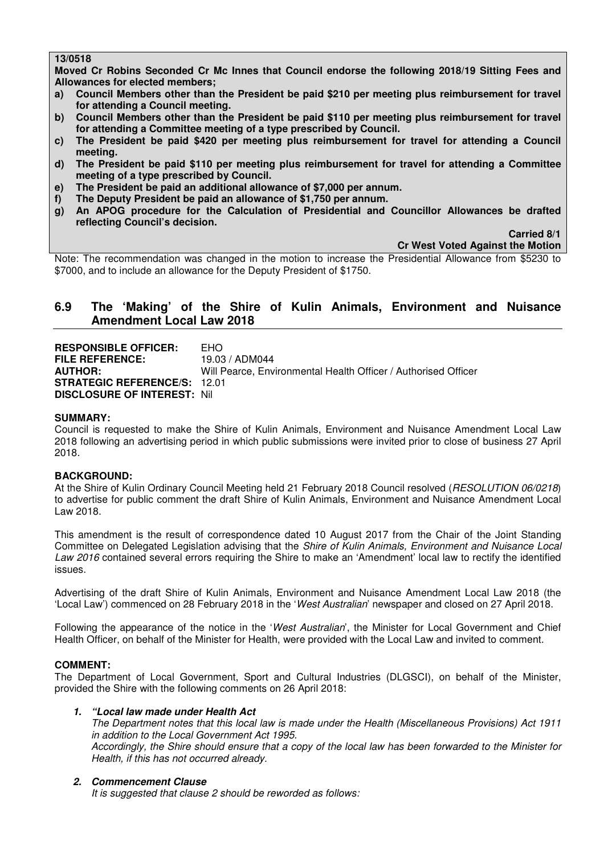# **13/0518**

**Moved Cr Robins Seconded Cr Mc Innes that Council endorse the following 2018/19 Sitting Fees and Allowances for elected members;** 

- **a) Council Members other than the President be paid \$210 per meeting plus reimbursement for travel for attending a Council meeting.**
- **b) Council Members other than the President be paid \$110 per meeting plus reimbursement for travel for attending a Committee meeting of a type prescribed by Council.**
- **c) The President be paid \$420 per meeting plus reimbursement for travel for attending a Council meeting.**
- **d) The President be paid \$110 per meeting plus reimbursement for travel for attending a Committee meeting of a type prescribed by Council.**
- **e) The President be paid an additional allowance of \$7,000 per annum.**
- **f) The Deputy President be paid an allowance of \$1,750 per annum.**
- **g) An APOG procedure for the Calculation of Presidential and Councillor Allowances be drafted reflecting Council's decision.**

 **Carried 8/1** 

**Cr West Voted Against the Motion** 

Note: The recommendation was changed in the motion to increase the Presidential Allowance from \$5230 to \$7000, and to include an allowance for the Deputy President of \$1750.

# **6.9 The 'Making' of the Shire of Kulin Animals, Environment and Nuisance Amendment Local Law 2018**

**RESPONSIBLE OFFICER:** EHO<br>FILE REFERENCE: 19.03 / ADM044 **FILE REFERENCE:**<br>AUTHOR: Will Pearce, Environmental Health Officer / Authorised Officer **STRATEGIC REFERENCE/S:** 12.01 **DISCLOSURE OF INTEREST:** Nil

# **SUMMARY:**

Council is requested to make the Shire of Kulin Animals, Environment and Nuisance Amendment Local Law 2018 following an advertising period in which public submissions were invited prior to close of business 27 April 2018.

# **BACKGROUND:**

At the Shire of Kulin Ordinary Council Meeting held 21 February 2018 Council resolved (*RESOLUTION 06/0218*) to advertise for public comment the draft Shire of Kulin Animals, Environment and Nuisance Amendment Local Law 2018.

This amendment is the result of correspondence dated 10 August 2017 from the Chair of the Joint Standing Committee on Delegated Legislation advising that the *Shire of Kulin Animals, Environment and Nuisance Local Law 2016* contained several errors requiring the Shire to make an 'Amendment' local law to rectify the identified issues.

Advertising of the draft Shire of Kulin Animals, Environment and Nuisance Amendment Local Law 2018 (the 'Local Law') commenced on 28 February 2018 in the '*West Australian*' newspaper and closed on 27 April 2018.

Following the appearance of the notice in the '*West Australian*', the Minister for Local Government and Chief Health Officer, on behalf of the Minister for Health, were provided with the Local Law and invited to comment.

# **COMMENT:**

The Department of Local Government, Sport and Cultural Industries (DLGSCI), on behalf of the Minister, provided the Shire with the following comments on 26 April 2018:

# *1. "Local law made under Health Act*

*The Department notes that this local law is made under the Health (Miscellaneous Provisions) Act 1911 in addition to the Local Government Act 1995. Accordingly, the Shire should ensure that a copy of the local law has been forwarded to the Minister for Health, if this has not occurred already.* 

# *2. Commencement Clause*

*It is suggested that clause 2 should be reworded as follows:*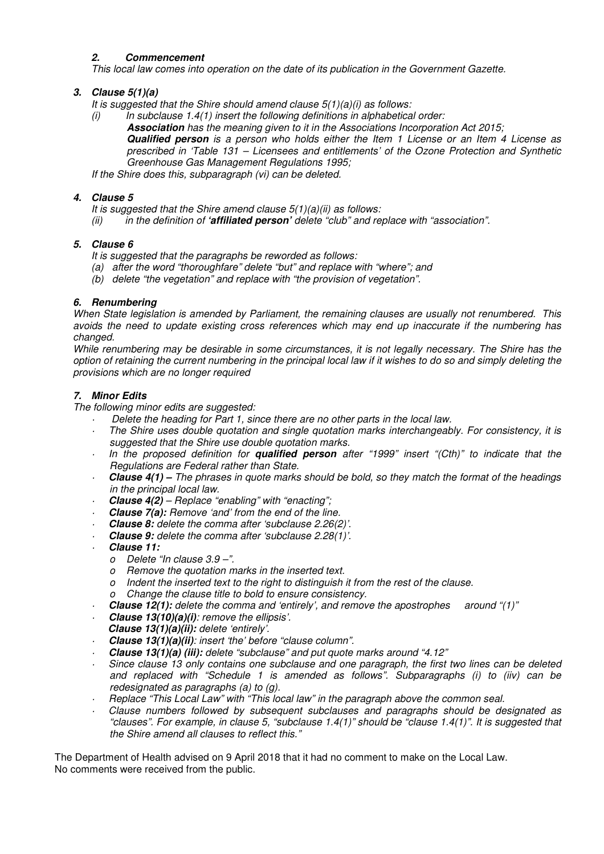# *2. Commencement*

*This local law comes into operation on the date of its publication in the Government Gazette.* 

# *3. Clause 5(1)(a)*

*It is suggested that the Shire should amend clause 5(1)(a)(i) as follows:* 

- *(i) In subclause 1.4(1) insert the following definitions in alphabetical order:* 
	- *Association has the meaning given to it in the Associations Incorporation Act 2015;*

*Qualified person is a person who holds either the Item 1 License or an Item 4 License as prescribed in 'Table 131 – Licensees and entitlements' of the Ozone Protection and Synthetic Greenhouse Gas Management Regulations 1995;* 

*If the Shire does this, subparagraph (vi) can be deleted.* 

# *4. Clause 5*

- *It is suggested that the Shire amend clause 5(1)(a)(ii) as follows:*
- *(ii) in the definition of 'affiliated person' delete "club" and replace with "association".*

# *5. Clause 6*

*It is suggested that the paragraphs be reworded as follows:* 

- *(a) after the word "thoroughfare" delete "but" and replace with "where"; and*
- *(b) delete "the vegetation" and replace with "the provision of vegetation".*

# *6. Renumbering*

*When State legislation is amended by Parliament, the remaining clauses are usually not renumbered. This avoids the need to update existing cross references which may end up inaccurate if the numbering has changed.* 

*While renumbering may be desirable in some circumstances, it is not legally necessary. The Shire has the option of retaining the current numbering in the principal local law if it wishes to do so and simply deleting the provisions which are no longer required* 

# *7. Minor Edits*

*The following minor edits are suggested:* 

- *· Delete the heading for Part 1, since there are no other parts in the local law.*
- *· The Shire uses double quotation and single quotation marks interchangeably. For consistency, it is suggested that the Shire use double quotation marks.*
- *· In the proposed definition for qualified person after "1999" insert "(Cth)" to indicate that the Regulations are Federal rather than State.*
- *· Clause 4(1) The phrases in quote marks should be bold, so they match the format of the headings in the principal local law.*
- *· Clause 4(2) Replace "enabling" with "enacting";*
- *· Clause 7(a): Remove 'and' from the end of the line.*
- *· Clause 8: delete the comma after 'subclause 2.26(2)'.*
- *· Clause 9: delete the comma after 'subclause 2.28(1)'.*
- *· Clause 11:* 
	- *o Delete "In clause 3.9 –".*
	- *o Remove the quotation marks in the inserted text.*
	- *o Indent the inserted text to the right to distinguish it from the rest of the clause.*
	- *o Change the clause title to bold to ensure consistency.*
- *· Clause 12(1): delete the comma and 'entirely', and remove the apostrophes around "(1)"*
- *· Clause 13(10)(a)(i): remove the ellipsis'.*
- *Clause 13(1)(a)(ii): delete 'entirely'.*
- *· Clause 13(1)(a)(ii): insert 'the' before "clause column".*
- *· Clause 13(1)(a) (iii): delete "subclause" and put quote marks around "4.12"*
- *· Since clause 13 only contains one subclause and one paragraph, the first two lines can be deleted and replaced with "Schedule 1 is amended as follows". Subparagraphs (i) to (iiv) can be redesignated as paragraphs (a) to (g).*
- *· Replace "This Local Law" with "This local law" in the paragraph above the common seal.*
- *· Clause numbers followed by subsequent subclauses and paragraphs should be designated as "clauses". For example, in clause 5, "subclause 1.4(1)" should be "clause 1.4(1)". It is suggested that the Shire amend all clauses to reflect this."*

The Department of Health advised on 9 April 2018 that it had no comment to make on the Local Law. No comments were received from the public.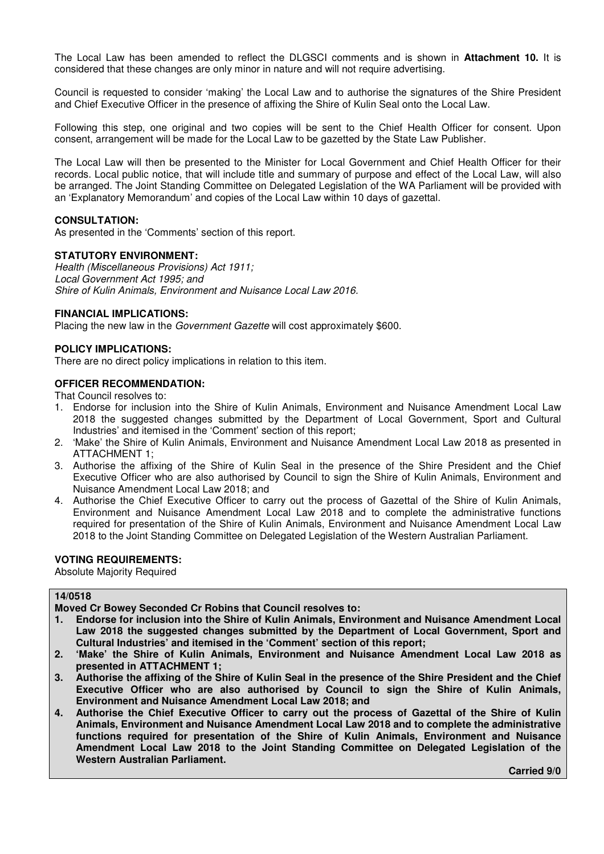The Local Law has been amended to reflect the DLGSCI comments and is shown in **Attachment 10.** It is considered that these changes are only minor in nature and will not require advertising.

Council is requested to consider 'making' the Local Law and to authorise the signatures of the Shire President and Chief Executive Officer in the presence of affixing the Shire of Kulin Seal onto the Local Law.

Following this step, one original and two copies will be sent to the Chief Health Officer for consent. Upon consent, arrangement will be made for the Local Law to be gazetted by the State Law Publisher.

The Local Law will then be presented to the Minister for Local Government and Chief Health Officer for their records. Local public notice, that will include title and summary of purpose and effect of the Local Law, will also be arranged. The Joint Standing Committee on Delegated Legislation of the WA Parliament will be provided with an 'Explanatory Memorandum' and copies of the Local Law within 10 days of gazettal.

#### **CONSULTATION:**

As presented in the 'Comments' section of this report.

#### **STATUTORY ENVIRONMENT:**

*Health (Miscellaneous Provisions) Act 1911; Local Government Act 1995; and Shire of Kulin Animals, Environment and Nuisance Local Law 2016.* 

#### **FINANCIAL IMPLICATIONS:**

Placing the new law in the *Government Gazette* will cost approximately \$600.

#### **POLICY IMPLICATIONS:**

There are no direct policy implications in relation to this item.

#### **OFFICER RECOMMENDATION:**

That Council resolves to:

- 1. Endorse for inclusion into the Shire of Kulin Animals, Environment and Nuisance Amendment Local Law 2018 the suggested changes submitted by the Department of Local Government, Sport and Cultural Industries' and itemised in the 'Comment' section of this report;
- 2. 'Make' the Shire of Kulin Animals, Environment and Nuisance Amendment Local Law 2018 as presented in ATTACHMENT 1;
- 3. Authorise the affixing of the Shire of Kulin Seal in the presence of the Shire President and the Chief Executive Officer who are also authorised by Council to sign the Shire of Kulin Animals, Environment and Nuisance Amendment Local Law 2018; and
- 4. Authorise the Chief Executive Officer to carry out the process of Gazettal of the Shire of Kulin Animals, Environment and Nuisance Amendment Local Law 2018 and to complete the administrative functions required for presentation of the Shire of Kulin Animals, Environment and Nuisance Amendment Local Law 2018 to the Joint Standing Committee on Delegated Legislation of the Western Australian Parliament.

# **VOTING REQUIREMENTS:**

Absolute Majority Required

#### **14/0518**

**Moved Cr Bowey Seconded Cr Robins that Council resolves to:** 

- **1. Endorse for inclusion into the Shire of Kulin Animals, Environment and Nuisance Amendment Local Law 2018 the suggested changes submitted by the Department of Local Government, Sport and Cultural Industries' and itemised in the 'Comment' section of this report;**
- **2. 'Make' the Shire of Kulin Animals, Environment and Nuisance Amendment Local Law 2018 as presented in ATTACHMENT 1;**
- **3. Authorise the affixing of the Shire of Kulin Seal in the presence of the Shire President and the Chief Executive Officer who are also authorised by Council to sign the Shire of Kulin Animals, Environment and Nuisance Amendment Local Law 2018; and**
- **4. Authorise the Chief Executive Officer to carry out the process of Gazettal of the Shire of Kulin Animals, Environment and Nuisance Amendment Local Law 2018 and to complete the administrative functions required for presentation of the Shire of Kulin Animals, Environment and Nuisance Amendment Local Law 2018 to the Joint Standing Committee on Delegated Legislation of the Western Australian Parliament.**

 **Carried 9/0**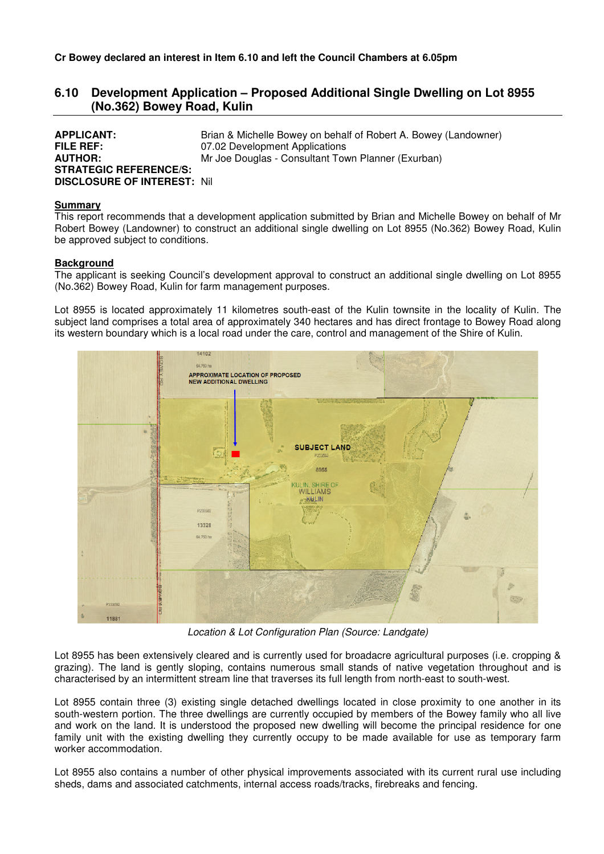# **6.10 Development Application – Proposed Additional Single Dwelling on Lot 8955 (No.362) Bowey Road, Kulin**

| <b>APPLICANT:</b>                   | Brian & Michelle Bowey on behalf of Robert A. Bowey (Landowner) |
|-------------------------------------|-----------------------------------------------------------------|
| <b>FILE REF:</b>                    | 07.02 Development Applications                                  |
| <b>AUTHOR:</b>                      | Mr Joe Douglas - Consultant Town Planner (Exurban)              |
| <b>STRATEGIC REFERENCE/S:</b>       |                                                                 |
| <b>DISCLOSURE OF INTEREST: Nill</b> |                                                                 |

#### **Summary**

This report recommends that a development application submitted by Brian and Michelle Bowey on behalf of Mr Robert Bowey (Landowner) to construct an additional single dwelling on Lot 8955 (No.362) Bowey Road, Kulin be approved subject to conditions.

#### **Background**

The applicant is seeking Council's development approval to construct an additional single dwelling on Lot 8955 (No.362) Bowey Road, Kulin for farm management purposes.

Lot 8955 is located approximately 11 kilometres south-east of the Kulin townsite in the locality of Kulin. The subject land comprises a total area of approximately 340 hectares and has direct frontage to Bowey Road along its western boundary which is a local road under the care, control and management of the Shire of Kulin.



*Location & Lot Configuration Plan (Source: Landgate)* 

Lot 8955 has been extensively cleared and is currently used for broadacre agricultural purposes (i.e. cropping & grazing). The land is gently sloping, contains numerous small stands of native vegetation throughout and is characterised by an intermittent stream line that traverses its full length from north-east to south-west.

Lot 8955 contain three (3) existing single detached dwellings located in close proximity to one another in its south-western portion. The three dwellings are currently occupied by members of the Bowey family who all live and work on the land. It is understood the proposed new dwelling will become the principal residence for one family unit with the existing dwelling they currently occupy to be made available for use as temporary farm worker accommodation.

Lot 8955 also contains a number of other physical improvements associated with its current rural use including sheds, dams and associated catchments, internal access roads/tracks, firebreaks and fencing.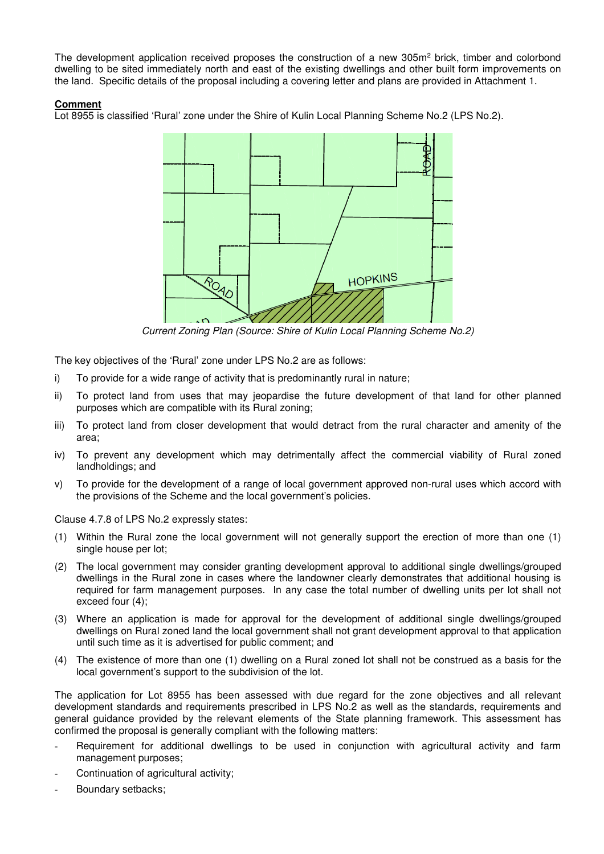The development application received proposes the construction of a new 305m<sup>2</sup> brick, timber and colorbond dwelling to be sited immediately north and east of the existing dwellings and other built form improvements on the land. Specific details of the proposal including a covering letter and plans are provided in Attachment 1.

# **Comment**

Lot 8955 is classified 'Rural' zone under the Shire of Kulin Local Planning Scheme No.2 (LPS No.2).



*Current Zoning Plan (Source: Shire of Kulin Local Planning Scheme No.2)* 

The key objectives of the 'Rural' zone under LPS No.2 are as follows:

- i) To provide for a wide range of activity that is predominantly rural in nature;
- ii) To protect land from uses that may jeopardise the future development of that land for other planned purposes which are compatible with its Rural zoning;
- iii) To protect land from closer development that would detract from the rural character and amenity of the area;
- iv) To prevent any development which may detrimentally affect the commercial viability of Rural zoned landholdings; and
- v) To provide for the development of a range of local government approved non-rural uses which accord with the provisions of the Scheme and the local government's policies.

Clause 4.7.8 of LPS No.2 expressly states:

- (1) Within the Rural zone the local government will not generally support the erection of more than one (1) single house per lot;
- (2) The local government may consider granting development approval to additional single dwellings/grouped dwellings in the Rural zone in cases where the landowner clearly demonstrates that additional housing is required for farm management purposes. In any case the total number of dwelling units per lot shall not exceed four (4);
- (3) Where an application is made for approval for the development of additional single dwellings/grouped dwellings on Rural zoned land the local government shall not grant development approval to that application until such time as it is advertised for public comment; and
- (4) The existence of more than one (1) dwelling on a Rural zoned lot shall not be construed as a basis for the local government's support to the subdivision of the lot.

The application for Lot 8955 has been assessed with due regard for the zone objectives and all relevant development standards and requirements prescribed in LPS No.2 as well as the standards, requirements and general guidance provided by the relevant elements of the State planning framework. This assessment has confirmed the proposal is generally compliant with the following matters:

- Requirement for additional dwellings to be used in conjunction with agricultural activity and farm management purposes;
- Continuation of agricultural activity;
- Boundary setbacks;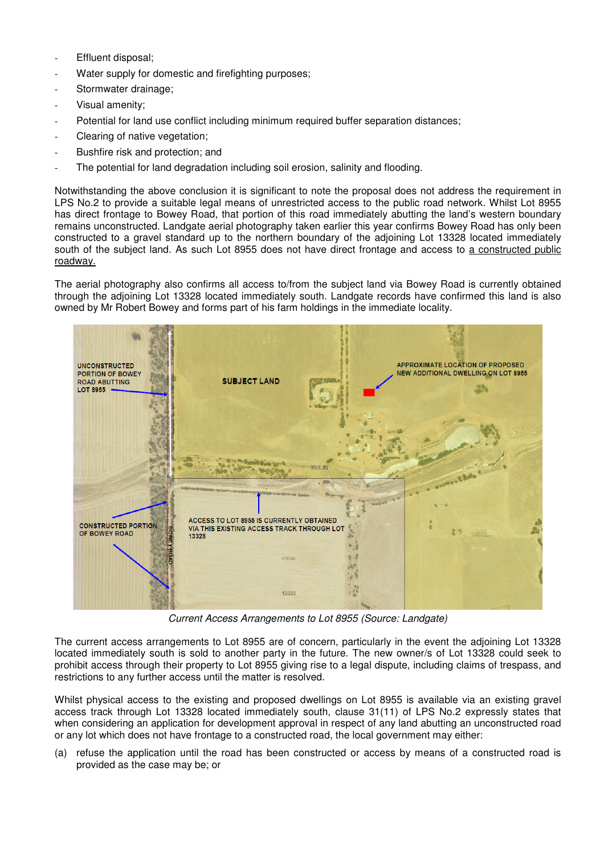- Effluent disposal;
- Water supply for domestic and firefighting purposes;
- Stormwater drainage;
- Visual amenity;
- Potential for land use conflict including minimum required buffer separation distances;
- Clearing of native vegetation;
- Bushfire risk and protection; and
- The potential for land degradation including soil erosion, salinity and flooding.

Notwithstanding the above conclusion it is significant to note the proposal does not address the requirement in LPS No.2 to provide a suitable legal means of unrestricted access to the public road network. Whilst Lot 8955 has direct frontage to Bowey Road, that portion of this road immediately abutting the land's western boundary remains unconstructed. Landgate aerial photography taken earlier this year confirms Bowey Road has only been constructed to a gravel standard up to the northern boundary of the adjoining Lot 13328 located immediately south of the subject land. As such Lot 8955 does not have direct frontage and access to a constructed public roadway.

The aerial photography also confirms all access to/from the subject land via Bowey Road is currently obtained through the adjoining Lot 13328 located immediately south. Landgate records have confirmed this land is also owned by Mr Robert Bowey and forms part of his farm holdings in the immediate locality.



*Current Access Arrangements to Lot 8955 (Source: Landgate)* 

The current access arrangements to Lot 8955 are of concern, particularly in the event the adjoining Lot 13328 located immediately south is sold to another party in the future. The new owner/s of Lot 13328 could seek to prohibit access through their property to Lot 8955 giving rise to a legal dispute, including claims of trespass, and restrictions to any further access until the matter is resolved.

Whilst physical access to the existing and proposed dwellings on Lot 8955 is available via an existing gravel access track through Lot 13328 located immediately south, clause 31(11) of LPS No.2 expressly states that when considering an application for development approval in respect of any land abutting an unconstructed road or any lot which does not have frontage to a constructed road, the local government may either:

(a) refuse the application until the road has been constructed or access by means of a constructed road is provided as the case may be; or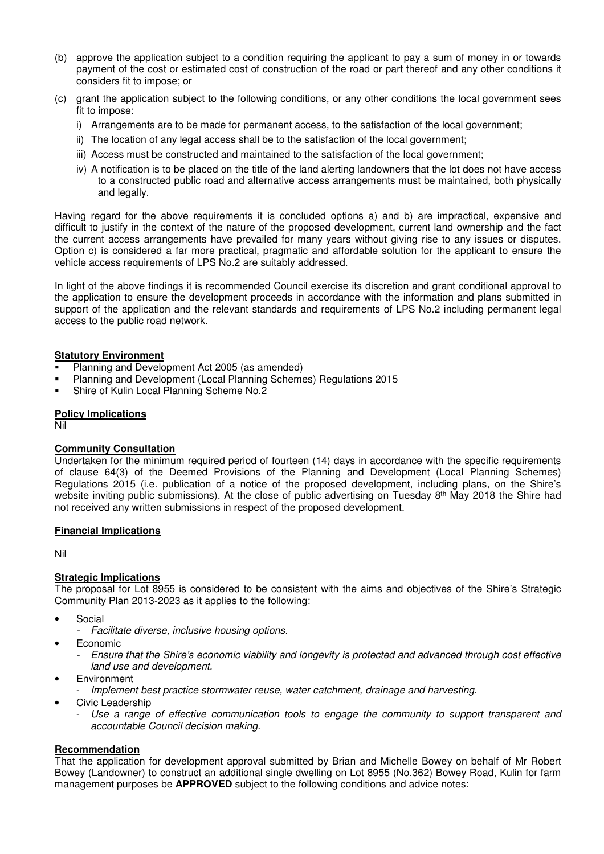- (b) approve the application subject to a condition requiring the applicant to pay a sum of money in or towards payment of the cost or estimated cost of construction of the road or part thereof and any other conditions it considers fit to impose; or
- (c) grant the application subject to the following conditions, or any other conditions the local government sees fit to impose:
	- i) Arrangements are to be made for permanent access, to the satisfaction of the local government;
	- ii) The location of any legal access shall be to the satisfaction of the local government;
	- iii) Access must be constructed and maintained to the satisfaction of the local government;
	- iv) A notification is to be placed on the title of the land alerting landowners that the lot does not have access to a constructed public road and alternative access arrangements must be maintained, both physically and legally.

Having regard for the above requirements it is concluded options a) and b) are impractical, expensive and difficult to justify in the context of the nature of the proposed development, current land ownership and the fact the current access arrangements have prevailed for many years without giving rise to any issues or disputes. Option c) is considered a far more practical, pragmatic and affordable solution for the applicant to ensure the vehicle access requirements of LPS No.2 are suitably addressed.

In light of the above findings it is recommended Council exercise its discretion and grant conditional approval to the application to ensure the development proceeds in accordance with the information and plans submitted in support of the application and the relevant standards and requirements of LPS No.2 including permanent legal access to the public road network.

#### **Statutory Environment**

- Planning and Development Act 2005 (as amended)
- Planning and Development (Local Planning Schemes) Regulations 2015
- Shire of Kulin Local Planning Scheme No.2

#### **Policy Implications**

Nil

# **Community Consultation**

Undertaken for the minimum required period of fourteen (14) days in accordance with the specific requirements of clause 64(3) of the Deemed Provisions of the Planning and Development (Local Planning Schemes) Regulations 2015 (i.e. publication of a notice of the proposed development, including plans, on the Shire's website inviting public submissions). At the close of public advertising on Tuesday 8<sup>th</sup> May 2018 the Shire had not received any written submissions in respect of the proposed development.

# **Financial Implications**

Nil

#### **Strategic Implications**

The proposal for Lot 8955 is considered to be consistent with the aims and objectives of the Shire's Strategic Community Plan 2013-2023 as it applies to the following:

- **Social** 
	- *Facilitate diverse, inclusive housing options.*
- Economic
	- *Ensure that the Shire's economic viability and longevity is protected and advanced through cost effective land use and development.*
- **Environment**
- *Implement best practice stormwater reuse, water catchment, drainage and harvesting.*
- Civic Leadership
	- Use a range of effective communication tools to engage the community to support transparent and *accountable Council decision making.*

# **Recommendation**

That the application for development approval submitted by Brian and Michelle Bowey on behalf of Mr Robert Bowey (Landowner) to construct an additional single dwelling on Lot 8955 (No.362) Bowey Road, Kulin for farm management purposes be **APPROVED** subject to the following conditions and advice notes: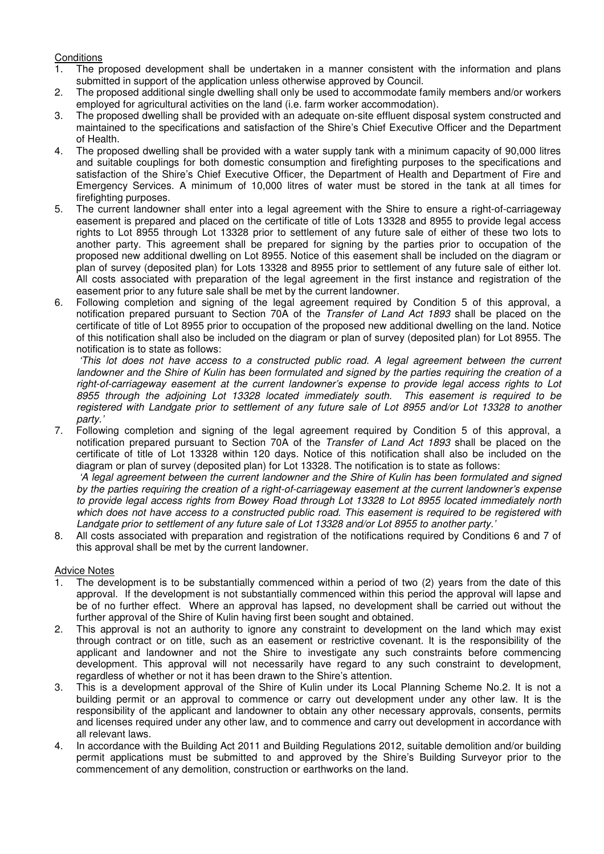# **Conditions**

- 1. The proposed development shall be undertaken in a manner consistent with the information and plans submitted in support of the application unless otherwise approved by Council.
- 2. The proposed additional single dwelling shall only be used to accommodate family members and/or workers employed for agricultural activities on the land (i.e. farm worker accommodation).
- 3. The proposed dwelling shall be provided with an adequate on-site effluent disposal system constructed and maintained to the specifications and satisfaction of the Shire's Chief Executive Officer and the Department of Health.
- 4. The proposed dwelling shall be provided with a water supply tank with a minimum capacity of 90,000 litres and suitable couplings for both domestic consumption and firefighting purposes to the specifications and satisfaction of the Shire's Chief Executive Officer, the Department of Health and Department of Fire and Emergency Services. A minimum of 10,000 litres of water must be stored in the tank at all times for firefighting purposes.
- 5. The current landowner shall enter into a legal agreement with the Shire to ensure a right-of-carriageway easement is prepared and placed on the certificate of title of Lots 13328 and 8955 to provide legal access rights to Lot 8955 through Lot 13328 prior to settlement of any future sale of either of these two lots to another party. This agreement shall be prepared for signing by the parties prior to occupation of the proposed new additional dwelling on Lot 8955. Notice of this easement shall be included on the diagram or plan of survey (deposited plan) for Lots 13328 and 8955 prior to settlement of any future sale of either lot. All costs associated with preparation of the legal agreement in the first instance and registration of the easement prior to any future sale shall be met by the current landowner.
- 6. Following completion and signing of the legal agreement required by Condition 5 of this approval, a notification prepared pursuant to Section 70A of the *Transfer of Land Act 1893* shall be placed on the certificate of title of Lot 8955 prior to occupation of the proposed new additional dwelling on the land. Notice of this notification shall also be included on the diagram or plan of survey (deposited plan) for Lot 8955. The notification is to state as follows:

 *'This lot does not have access to a constructed public road. A legal agreement between the current landowner and the Shire of Kulin has been formulated and signed by the parties requiring the creation of a right-of-carriageway easement at the current landowner's expense to provide legal access rights to Lot 8955 through the adjoining Lot 13328 located immediately south. This easement is required to be registered with Landgate prior to settlement of any future sale of Lot 8955 and/or Lot 13328 to another party.'* 

7. Following completion and signing of the legal agreement required by Condition 5 of this approval, a notification prepared pursuant to Section 70A of the *Transfer of Land Act 1893* shall be placed on the certificate of title of Lot 13328 within 120 days. Notice of this notification shall also be included on the diagram or plan of survey (deposited plan) for Lot 13328. The notification is to state as follows:

 *'A legal agreement between the current landowner and the Shire of Kulin has been formulated and signed by the parties requiring the creation of a right-of-carriageway easement at the current landowner's expense to provide legal access rights from Bowey Road through Lot 13328 to Lot 8955 located immediately north which does not have access to a constructed public road. This easement is required to be registered with Landgate prior to settlement of any future sale of Lot 13328 and/or Lot 8955 to another party.'* 

8. All costs associated with preparation and registration of the notifications required by Conditions 6 and 7 of this approval shall be met by the current landowner.

# Advice Notes

- 1. The development is to be substantially commenced within a period of two (2) years from the date of this approval. If the development is not substantially commenced within this period the approval will lapse and be of no further effect. Where an approval has lapsed, no development shall be carried out without the further approval of the Shire of Kulin having first been sought and obtained.
- 2. This approval is not an authority to ignore any constraint to development on the land which may exist through contract or on title, such as an easement or restrictive covenant. It is the responsibility of the applicant and landowner and not the Shire to investigate any such constraints before commencing development. This approval will not necessarily have regard to any such constraint to development, regardless of whether or not it has been drawn to the Shire's attention.
- 3. This is a development approval of the Shire of Kulin under its Local Planning Scheme No.2. It is not a building permit or an approval to commence or carry out development under any other law. It is the responsibility of the applicant and landowner to obtain any other necessary approvals, consents, permits and licenses required under any other law, and to commence and carry out development in accordance with all relevant laws.
- 4. In accordance with the Building Act 2011 and Building Regulations 2012, suitable demolition and/or building permit applications must be submitted to and approved by the Shire's Building Surveyor prior to the commencement of any demolition, construction or earthworks on the land.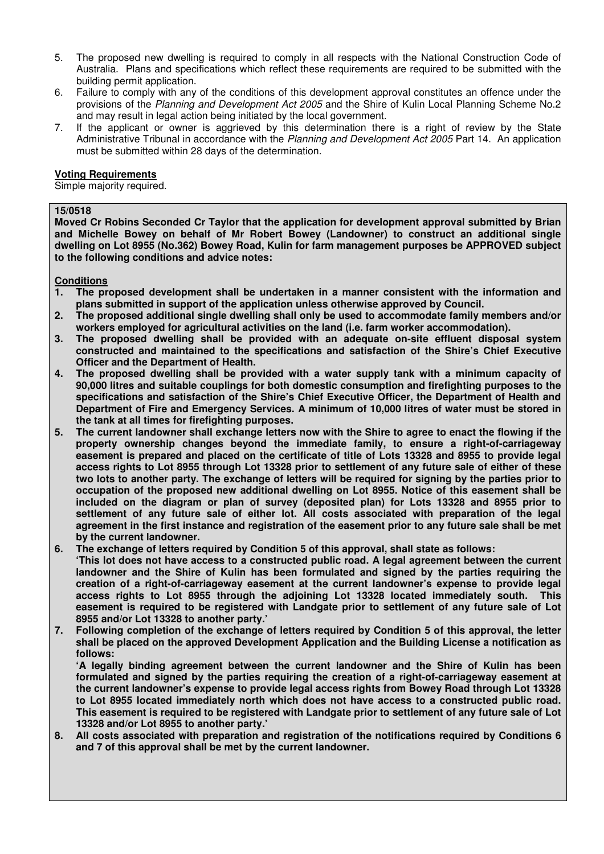- 5. The proposed new dwelling is required to comply in all respects with the National Construction Code of Australia. Plans and specifications which reflect these requirements are required to be submitted with the building permit application.
- 6. Failure to comply with any of the conditions of this development approval constitutes an offence under the provisions of the *Planning and Development Act 2005* and the Shire of Kulin Local Planning Scheme No.2 and may result in legal action being initiated by the local government.
- 7. If the applicant or owner is aggrieved by this determination there is a right of review by the State Administrative Tribunal in accordance with the *Planning and Development Act 2005* Part 14. An application must be submitted within 28 days of the determination.

#### **Voting Requirements**

Simple majority required.

#### **15/0518**

**Moved Cr Robins Seconded Cr Taylor that the application for development approval submitted by Brian and Michelle Bowey on behalf of Mr Robert Bowey (Landowner) to construct an additional single dwelling on Lot 8955 (No.362) Bowey Road, Kulin for farm management purposes be APPROVED subject to the following conditions and advice notes:** 

#### **Conditions**

- **1. The proposed development shall be undertaken in a manner consistent with the information and plans submitted in support of the application unless otherwise approved by Council.**
- **2. The proposed additional single dwelling shall only be used to accommodate family members and/or workers employed for agricultural activities on the land (i.e. farm worker accommodation).**
- **3. The proposed dwelling shall be provided with an adequate on-site effluent disposal system constructed and maintained to the specifications and satisfaction of the Shire's Chief Executive Officer and the Department of Health.**
- **4. The proposed dwelling shall be provided with a water supply tank with a minimum capacity of 90,000 litres and suitable couplings for both domestic consumption and firefighting purposes to the specifications and satisfaction of the Shire's Chief Executive Officer, the Department of Health and Department of Fire and Emergency Services. A minimum of 10,000 litres of water must be stored in the tank at all times for firefighting purposes.**
- **5. The current landowner shall exchange letters now with the Shire to agree to enact the flowing if the property ownership changes beyond the immediate family, to ensure a right-of-carriageway easement is prepared and placed on the certificate of title of Lots 13328 and 8955 to provide legal access rights to Lot 8955 through Lot 13328 prior to settlement of any future sale of either of these two lots to another party. The exchange of letters will be required for signing by the parties prior to occupation of the proposed new additional dwelling on Lot 8955. Notice of this easement shall be included on the diagram or plan of survey (deposited plan) for Lots 13328 and 8955 prior to settlement of any future sale of either lot. All costs associated with preparation of the legal agreement in the first instance and registration of the easement prior to any future sale shall be met by the current landowner.**
- **6. The exchange of letters required by Condition 5 of this approval, shall state as follows:**

 **'This lot does not have access to a constructed public road. A legal agreement between the current landowner and the Shire of Kulin has been formulated and signed by the parties requiring the creation of a right-of-carriageway easement at the current landowner's expense to provide legal access rights to Lot 8955 through the adjoining Lot 13328 located immediately south. This easement is required to be registered with Landgate prior to settlement of any future sale of Lot 8955 and/or Lot 13328 to another party.'** 

**7. Following completion of the exchange of letters required by Condition 5 of this approval, the letter shall be placed on the approved Development Application and the Building License a notification as follows:** 

 **'A legally binding agreement between the current landowner and the Shire of Kulin has been formulated and signed by the parties requiring the creation of a right-of-carriageway easement at the current landowner's expense to provide legal access rights from Bowey Road through Lot 13328 to Lot 8955 located immediately north which does not have access to a constructed public road. This easement is required to be registered with Landgate prior to settlement of any future sale of Lot 13328 and/or Lot 8955 to another party.'** 

**8. All costs associated with preparation and registration of the notifications required by Conditions 6 and 7 of this approval shall be met by the current landowner.**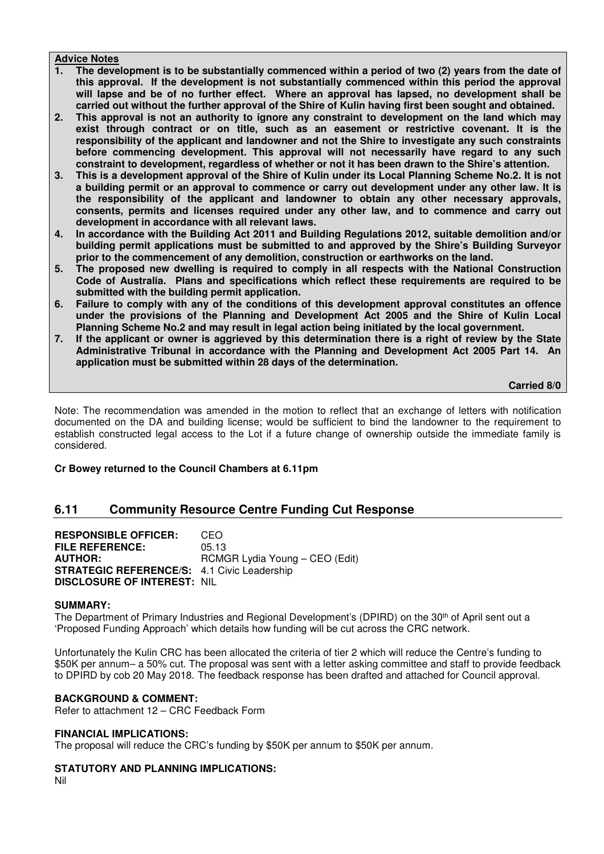#### **Advice Notes**

- **1. The development is to be substantially commenced within a period of two (2) years from the date of this approval. If the development is not substantially commenced within this period the approval will lapse and be of no further effect. Where an approval has lapsed, no development shall be carried out without the further approval of the Shire of Kulin having first been sought and obtained.**
- **2. This approval is not an authority to ignore any constraint to development on the land which may exist through contract or on title, such as an easement or restrictive covenant. It is the responsibility of the applicant and landowner and not the Shire to investigate any such constraints before commencing development. This approval will not necessarily have regard to any such constraint to development, regardless of whether or not it has been drawn to the Shire's attention.**
- **3. This is a development approval of the Shire of Kulin under its Local Planning Scheme No.2. It is not a building permit or an approval to commence or carry out development under any other law. It is the responsibility of the applicant and landowner to obtain any other necessary approvals, consents, permits and licenses required under any other law, and to commence and carry out development in accordance with all relevant laws.**
- **4. In accordance with the Building Act 2011 and Building Regulations 2012, suitable demolition and/or building permit applications must be submitted to and approved by the Shire's Building Surveyor prior to the commencement of any demolition, construction or earthworks on the land.**
- **5. The proposed new dwelling is required to comply in all respects with the National Construction Code of Australia. Plans and specifications which reflect these requirements are required to be submitted with the building permit application.**
- **6. Failure to comply with any of the conditions of this development approval constitutes an offence under the provisions of the Planning and Development Act 2005 and the Shire of Kulin Local Planning Scheme No.2 and may result in legal action being initiated by the local government.**
- **7. If the applicant or owner is aggrieved by this determination there is a right of review by the State Administrative Tribunal in accordance with the Planning and Development Act 2005 Part 14. An application must be submitted within 28 days of the determination.**

 **Carried 8/0** 

Note: The recommendation was amended in the motion to reflect that an exchange of letters with notification documented on the DA and building license; would be sufficient to bind the landowner to the requirement to establish constructed legal access to the Lot if a future change of ownership outside the immediate family is considered.

# **Cr Bowey returned to the Council Chambers at 6.11pm**

# **6.11 Community Resource Centre Funding Cut Response**

**RESPONSIBLE OFFICER:** CEO **FILE REFERENCE:** 05.13 **AUTHOR:** RCMGR Lydia Young – CEO (Edit) **STRATEGIC REFERENCE/S:** 4.1 Civic Leadership **DISCLOSURE OF INTEREST:** NIL

#### **SUMMARY:**

The Department of Primary Industries and Regional Development's (DPIRD) on the 30<sup>th</sup> of April sent out a 'Proposed Funding Approach' which details how funding will be cut across the CRC network.

Unfortunately the Kulin CRC has been allocated the criteria of tier 2 which will reduce the Centre's funding to \$50K per annum– a 50% cut. The proposal was sent with a letter asking committee and staff to provide feedback to DPIRD by cob 20 May 2018. The feedback response has been drafted and attached for Council approval.

#### **BACKGROUND & COMMENT:**

Refer to attachment 12 – CRC Feedback Form

#### **FINANCIAL IMPLICATIONS:**

The proposal will reduce the CRC's funding by \$50K per annum to \$50K per annum.

# **STATUTORY AND PLANNING IMPLICATIONS:**

Nil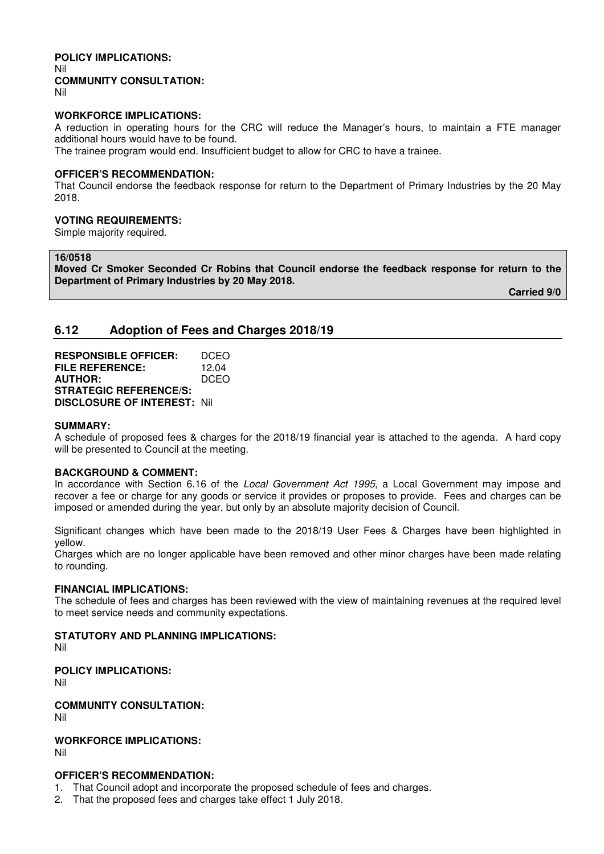# **POLICY IMPLICATIONS:**  Nil **COMMUNITY CONSULTATION:**

Nil

#### **WORKFORCE IMPLICATIONS:**

A reduction in operating hours for the CRC will reduce the Manager's hours, to maintain a FTE manager additional hours would have to be found.

The trainee program would end. Insufficient budget to allow for CRC to have a trainee.

#### **OFFICER'S RECOMMENDATION:**

That Council endorse the feedback response for return to the Department of Primary Industries by the 20 May 2018.

# **VOTING REQUIREMENTS:**

Simple majority required.

#### **16/0518**

**Moved Cr Smoker Seconded Cr Robins that Council endorse the feedback response for return to the Department of Primary Industries by 20 May 2018.** 

 **Carried 9/0** 

# **6.12 Adoption of Fees and Charges 2018/19**

**RESPONSIBLE OFFICER:** DCEO **FILE REFERENCE:** 12.04 **AUTHOR:** DCEO **STRATEGIC REFERENCE/S: DISCLOSURE OF INTEREST:** Nil

#### **SUMMARY:**

A schedule of proposed fees & charges for the 2018/19 financial year is attached to the agenda. A hard copy will be presented to Council at the meeting.

# **BACKGROUND & COMMENT:**

In accordance with Section 6.16 of the *Local Government Act 1995*, a Local Government may impose and recover a fee or charge for any goods or service it provides or proposes to provide. Fees and charges can be imposed or amended during the year, but only by an absolute majority decision of Council.

Significant changes which have been made to the 2018/19 User Fees & Charges have been highlighted in yellow.

Charges which are no longer applicable have been removed and other minor charges have been made relating to rounding.

#### **FINANCIAL IMPLICATIONS:**

The schedule of fees and charges has been reviewed with the view of maintaining revenues at the required level to meet service needs and community expectations.

# **STATUTORY AND PLANNING IMPLICATIONS:**

Nil

# **POLICY IMPLICATIONS:**

Nil

**COMMUNITY CONSULTATION:**

Nil

#### **WORKFORCE IMPLICATIONS:** Nil

# **OFFICER'S RECOMMENDATION:**

- 1. That Council adopt and incorporate the proposed schedule of fees and charges.
- 2. That the proposed fees and charges take effect 1 July 2018.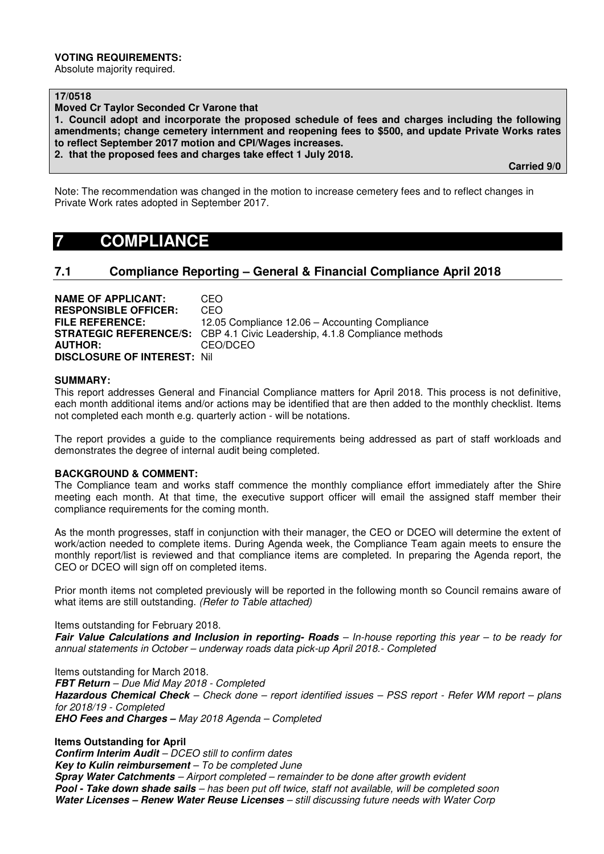#### **VOTING REQUIREMENTS:**

Absolute majority required.

**17/0518** 

**Moved Cr Taylor Seconded Cr Varone that** 

**1. Council adopt and incorporate the proposed schedule of fees and charges including the following amendments; change cemetery internment and reopening fees to \$500, and update Private Works rates to reflect September 2017 motion and CPI/Wages increases.** 

**2. that the proposed fees and charges take effect 1 July 2018.** 

 **Carried 9/0** 

Note: The recommendation was changed in the motion to increase cemetery fees and to reflect changes in Private Work rates adopted in September 2017.

# **7 COMPLIANCE**

# **7.1 Compliance Reporting – General & Financial Compliance April 2018**

| <b>NAME OF APPLICANT:</b>           | CEO.                                                                             |
|-------------------------------------|----------------------------------------------------------------------------------|
| <b>RESPONSIBLE OFFICER:</b>         | CEO                                                                              |
| <b>FILE REFERENCE:</b>              | 12.05 Compliance 12.06 – Accounting Compliance                                   |
|                                     | <b>STRATEGIC REFERENCE/S:</b> CBP 4.1 Civic Leadership, 4.1.8 Compliance methods |
| <b>AUTHOR:</b>                      | CEO/DCEO                                                                         |
| <b>DISCLOSURE OF INTEREST: Nill</b> |                                                                                  |

#### **SUMMARY:**

This report addresses General and Financial Compliance matters for April 2018. This process is not definitive, each month additional items and/or actions may be identified that are then added to the monthly checklist. Items not completed each month e.g. quarterly action - will be notations.

The report provides a guide to the compliance requirements being addressed as part of staff workloads and demonstrates the degree of internal audit being completed.

#### **BACKGROUND & COMMENT:**

The Compliance team and works staff commence the monthly compliance effort immediately after the Shire meeting each month. At that time, the executive support officer will email the assigned staff member their compliance requirements for the coming month.

As the month progresses, staff in conjunction with their manager, the CEO or DCEO will determine the extent of work/action needed to complete items. During Agenda week, the Compliance Team again meets to ensure the monthly report/list is reviewed and that compliance items are completed. In preparing the Agenda report, the CEO or DCEO will sign off on completed items.

Prior month items not completed previously will be reported in the following month so Council remains aware of what items are still outstanding. *(Refer to Table attached)* 

Items outstanding for February 2018.

*Fair Value Calculations and Inclusion in reporting- Roads – In-house reporting this year – to be ready for annual statements in October – underway roads data pick-up April 2018.- Completed*

Items outstanding for March 2018. *FBT Return – Due Mid May 2018 - Completed Hazardous Chemical Check – Check done – report identified issues – PSS report - Refer WM report – plans for 2018/19 - Completed EHO Fees and Charges – May 2018 Agenda – Completed* 

**Items Outstanding for April**  *Confirm Interim Audit – DCEO still to confirm dates Key to Kulin reimbursement – To be completed June Spray Water Catchments – Airport completed – remainder to be done after growth evident Pool - Take down shade sails – has been put off twice, staff not available, will be completed soon Water Licenses – Renew Water Reuse Licenses – still discussing future needs with Water Corp*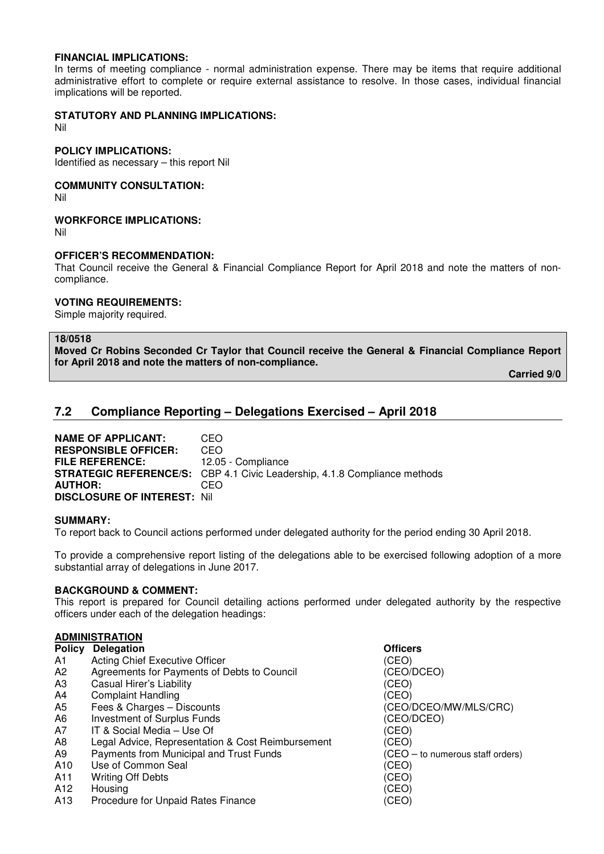#### **FINANCIAL IMPLICATIONS:**

In terms of meeting compliance - normal administration expense. There may be items that require additional administrative effort to complete or require external assistance to resolve. In those cases, individual financial implications will be reported.

# **STATUTORY AND PLANNING IMPLICATIONS:**

Nil

#### **POLICY IMPLICATIONS:**

Identified as necessary – this report Nil

#### **COMMUNITY CONSULTATION:**

Nil

# **WORKFORCE IMPLICATIONS:**

Nil

#### **OFFICER'S RECOMMENDATION:**

That Council receive the General & Financial Compliance Report for April 2018 and note the matters of noncompliance.

#### **VOTING REQUIREMENTS:**

Simple majority required.

# **18/0518**

**Moved Cr Robins Seconded Cr Taylor that Council receive the General & Financial Compliance Report for April 2018 and note the matters of non-compliance.** 

 **Carried 9/0** 

# **7.2 Compliance Reporting – Delegations Exercised – April 2018**

**NAME OF APPLICANT:** CEO **RESPONSIBLE OFFICER:** CEO **FILE REFERENCE:** 12.05 - Compliance **STRATEGIC REFERENCE/S:** CBP 4.1 Civic Leadership, 4.1.8 Compliance methods **AUTHOR:** CEO **DISCLOSURE OF INTEREST:** Nil

#### **SUMMARY:**

To report back to Council actions performed under delegated authority for the period ending 30 April 2018.

To provide a comprehensive report listing of the delegations able to be exercised following adoption of a more substantial array of delegations in June 2017.

# **BACKGROUND & COMMENT:**

This report is prepared for Council detailing actions performed under delegated authority by the respective officers under each of the delegation headings:

#### **ADMINISTRATION**

| <b>Policy Delegation</b> | <b>Officers</b> |
|--------------------------|-----------------|
|                          |                 |

- A1 Acting Chief Executive Officer<br>
A2 Agreements for Payments of Debts to Council (CEO/DCEO)
- A2 Agreements for Payments of Debts to Council (CEO/<br>A3 Casual Hirer's Liability (CEO)
- A3 Casual Hirer's Liability
- A4 Complaint Handling<br>
A5 Fees & Charges Discounts<br>
(CEO/
- 
- A6 Investment of Surplus Funds<br>
A7 IT & Social Media Use Of (CEO) (CEO)
- A7 IT & Social Media Use Of (CEO)
- A8 Legal Advice, Representation & Cost Reimbursement (CEO)
- A9 Payments from Municipal and Trust Funds (CEO to numerous staff orders)
- A10 Use of Common Seal (CEO)
- A<sub>11</sub> Writing Off Debts (CEO) No. 2014
- A12 Housing (CEO)
- A13 Procedure for Unpaid Rates Finance (CEO)
- (CEO/DCEO/MW/MLS/CRC)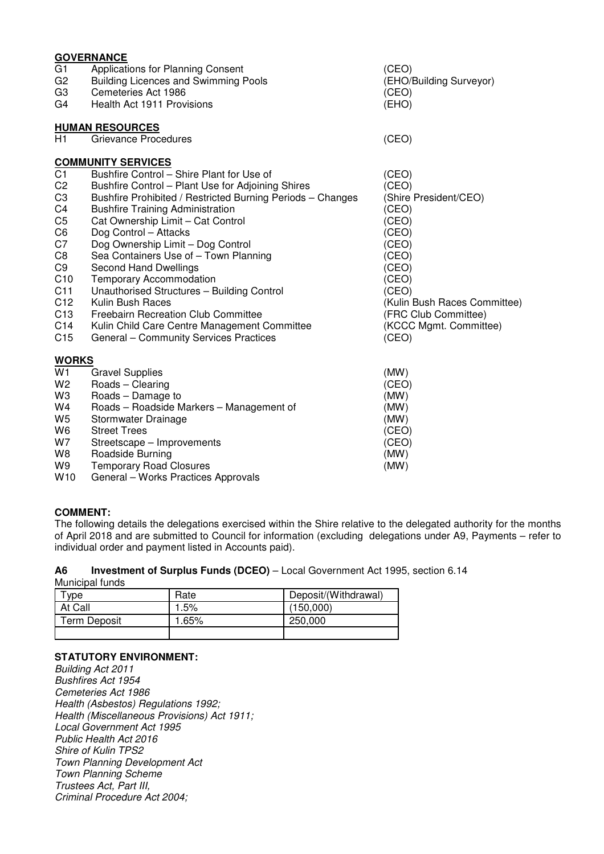|                 | <b>GOVERNANCE</b>                                          |                              |
|-----------------|------------------------------------------------------------|------------------------------|
| G1              | Applications for Planning Consent                          | (CEO)                        |
| G <sub>2</sub>  | <b>Building Licences and Swimming Pools</b>                | (EHO/Building Surveyor)      |
| G3              | Cemeteries Act 1986                                        | (CEO)                        |
| G4              | Health Act 1911 Provisions                                 | (EHO)                        |
|                 | <b>HUMAN RESOURCES</b>                                     |                              |
| H1              | Grievance Procedures                                       | (CEO)                        |
|                 | <b>COMMUNITY SERVICES</b>                                  |                              |
| C <sub>1</sub>  | Bushfire Control – Shire Plant for Use of                  | (CEO)                        |
| C <sub>2</sub>  | Bushfire Control - Plant Use for Adjoining Shires          | (CEO)                        |
| C <sub>3</sub>  | Bushfire Prohibited / Restricted Burning Periods - Changes | (Shire President/CEO)        |
| C4              | <b>Bushfire Training Administration</b>                    | (CEO)                        |
| C <sub>5</sub>  | Cat Ownership Limit - Cat Control                          | (CEO)                        |
| C6              | Dog Control - Attacks                                      | (CEO)                        |
| C7              | Dog Ownership Limit - Dog Control                          | (CEO)                        |
| C8              | Sea Containers Use of - Town Planning                      | (CEO)                        |
| C <sub>9</sub>  | <b>Second Hand Dwellings</b>                               | (CEO)                        |
| C10             | <b>Temporary Accommodation</b>                             | (CEO)                        |
| C11             | Unauthorised Structures - Building Control                 | (CEO)                        |
| C12             | Kulin Bush Races                                           | (Kulin Bush Races Committee) |
| C <sub>13</sub> | <b>Freebairn Recreation Club Committee</b>                 | (FRC Club Committee)         |
| C14             | Kulin Child Care Centre Management Committee               | (KCCC Mgmt. Committee)       |
| C <sub>15</sub> | General - Community Services Practices                     | (CEO)                        |
| <b>WORKS</b>    |                                                            |                              |
| W1              | <b>Gravel Supplies</b>                                     | (MW)                         |
| W <sub>2</sub>  | Roads - Clearing                                           | (CEO)                        |
| W <sub>3</sub>  | Roads - Damage to                                          | (MW)                         |
| W4              | Roads - Roadside Markers - Management of                   | (MW)                         |
| W <sub>5</sub>  | Stormwater Drainage                                        | (MW)                         |
| W <sub>6</sub>  | <b>Street Trees</b>                                        | (CEO)                        |
| W7              | Streetscape – Improvements                                 | (CEO)                        |
| W8              | Roadside Burning                                           | (MW)                         |

- 
- W9 Temporary Road Closures<br>W10 General Works Practices Approvals<br> General – Works Practices Approvals

# **COMMENT:**

The following details the delegations exercised within the Shire relative to the delegated authority for the months of April 2018 and are submitted to Council for information (excluding delegations under A9, Payments – refer to individual order and payment listed in Accounts paid).

#### **A6 Investment of Surplus Funds (DCEO)** – Local Government Act 1995, section 6.14 Municipal funds

| vpe          | Rate | Deposit/(Withdrawal) |
|--------------|------|----------------------|
| At Call      | .5%  | (150.000)            |
| Term Deposit | .65% | 250,000              |
|              |      |                      |

# **STATUTORY ENVIRONMENT:**

*Building Act 2011 Bushfires Act 1954 Cemeteries Act 1986 Health (Asbestos) Regulations 1992; Health (Miscellaneous Provisions) Act 1911; Local Government Act 1995 Public Health Act 2016 Shire of Kulin TPS2 Town Planning Development Act Town Planning Scheme Trustees Act, Part III, Criminal Procedure Act 2004;*